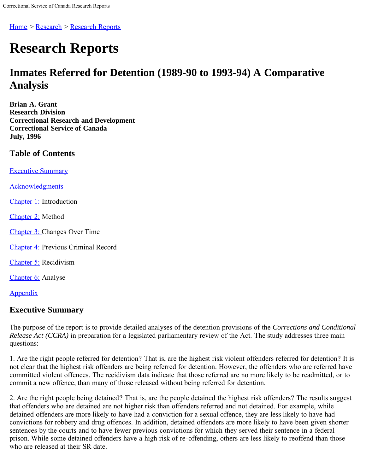Home > Research > Research Reports

# **Research Reports**

# **Inmates Referred for Detention (1989-90 to 1993-94) A Comparative Analysis**

**Brian A. Grant Research Division Correctional Research and Development Correctional Service of Canada July, 1996**

# **Table of Contents**

[Executive Summary](#page-0-0)

[Acknowledgments](#page-2-0)

[Chapter 1:](#page-3-0) Introduction

[Chapter 2:](#page-4-0) Method

[Chapter 3: C](#page-7-0)hanges Over Time

[Chapter 4:](#page-11-0) Previous Criminal Record

[Chapter 5:](#page-17-0) Recidivism

[Chapter 6:](#page-30-0) Analyse

**[Appendix](#page-33-0)** 

# <span id="page-0-0"></span>**Executive Summary**

The purpose of the report is to provide detailed analyses of the detention provisions of the *Corrections and Conditional Release Act (CCRA)* in preparation for a legislated parliamentary review of the Act. The study addresses three main questions:

1. Are the right people referred for detention? That is, are the highest risk violent offenders referred for detention? It is not clear that the highest risk offenders are being referred for detention. However, the offenders who are referred have committed violent offences. The recidivism data indicate that those referred are no more likely to be readmitted, or to commit a new offence, than many of those released without being referred for detention.

2. Are the right people being detained? That is, are the people detained the highest risk offenders? The results suggest that offenders who are detained are not higher risk than offenders referred and not detained. For example, while detained offenders are more likely to have had a conviction for a sexual offence, they are less likely to have had convictions for robbery and drug offences. In addition, detained offenders are more likely to have been given shorter sentences by the courts and to have fewer previous convictions for which they served their sentence in a federal prison. While some detained offenders have a high risk of re-offending, others are less likely to reoffend than those who are released at their SR date.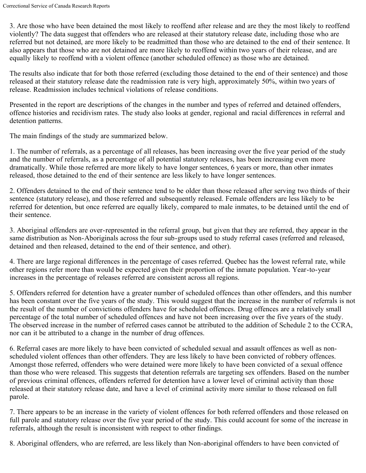3. Are those who have been detained the most likely to reoffend after release and are they the most likely to reoffend violently? The data suggest that offenders who are released at their statutory release date, including those who are referred but not detained, are more likely to be readmitted than those who are detained to the end of their sentence. It also appears that those who are not detained are more likely to reoffend within two years of their release, and are equally likely to reoffend with a violent offence (another scheduled offence) as those who are detained.

The results also indicate that for both those referred (excluding those detained to the end of their sentence) and those released at their statutory release date the readmission rate is very high, approximately 50%, within two years of release. Readmission includes technical violations of release conditions.

Presented in the report are descriptions of the changes in the number and types of referred and detained offenders, offence histories and recidivism rates. The study also looks at gender, regional and racial differences in referral and detention patterns.

The main findings of the study are summarized below.

1. The number of referrals, as a percentage of all releases, has been increasing over the five year period of the study and the number of referrals, as a percentage of all potential statutory releases, has been increasing even more dramatically. While those referred are more likely to have longer sentences, 6 years or more, than other inmates released, those detained to the end of their sentence are less likely to have longer sentences.

2. Offenders detained to the end of their sentence tend to be older than those released after serving two thirds of their sentence (statutory release), and those referred and subsequently released. Female offenders are less likely to be referred for detention, but once referred are equally likely, compared to male inmates, to be detained until the end of their sentence.

3. Aboriginal offenders are over-represented in the referral group, but given that they are referred, they appear in the same distribution as Non-Aboriginals across the four sub-groups used to study referral cases (referred and released, detained and then released, detained to the end of their sentence, and other).

4. There are large regional differences in the percentage of cases referred. Quebec has the lowest referral rate, while other regions refer more than would be expected given their proportion of the inmate population. Year-to-year increases in the percentage of releases referred are consistent across all regions.

5. Offenders referred for detention have a greater number of scheduled offences than other offenders, and this number has been constant over the five years of the study. This would suggest that the increase in the number of referrals is not the result of the number of convictions offenders have for scheduled offences. Drug offences are a relatively small percentage of the total number of scheduled offences and have not been increasing over the five years of the study. The observed increase in the number of referred cases cannot be attributed to the addition of Schedule 2 to the CCRA, nor can it be attributed to a change in the number of drug offences.

6. Referral cases are more likely to have been convicted of scheduled sexual and assault offences as well as nonscheduled violent offences than other offenders. They are less likely to have been convicted of robbery offences. Amongst those referred, offenders who were detained were more likely to have been convicted of a sexual offence than those who were released. This suggests that detention referrals are targeting sex offenders. Based on the number of previous criminal offences, offenders referred for detention have a lower level of criminal activity than those released at their statutory release date, and have a level of criminal activity more similar to those released on full parole.

7. There appears to be an increase in the variety of violent offences for both referred offenders and those released on full parole and statutory release over the five year period of the study. This could account for some of the increase in referrals, although the result is inconsistent with respect to other findings.

8. Aboriginal offenders, who are referred, are less likely than Non-aboriginal offenders to have been convicted of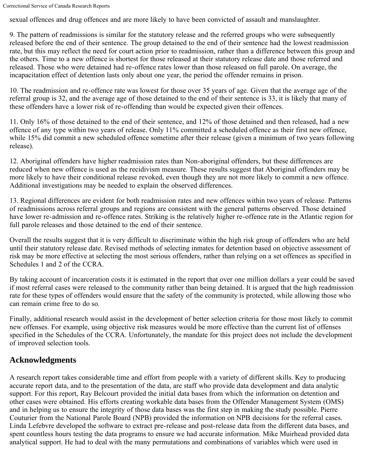sexual offences and drug offences and are more likely to have been convicted of assault and manslaughter.

9. The pattern of readmissions is similar for the statutory release and the referred groups who were subsequently released before the end of their sentence. The group detained to the end of their sentence had the lowest readmission rate, but this may reflect the need for court action prior to readmission, rather than a difference between this group and the others. Time to a new offence is shortest for those released at their statutory release date and those referred and released. Those who were detained had re-offence rates lower than those released on full parole. On average, the incapacitation effect of detention lasts only about one year, the period the offender remains in prison.

10. The readmission and re-offence rate was lowest for those over 35 years of age. Given that the average age of the referral group is 32, and the average age of those detained to the end of their sentence is 33, it is likely that many of these offenders have a lower risk of re-offending than would be expected given their offences.

11. Only 16% of those detained to the end of their sentence, and 12% of those detained and then released, had a new offence of any type within two years of release. Only 11% committed a scheduled offence as their first new offence, while 15% did commit a new scheduled offence sometime after their release (given a minimum of two years following release).

12. Aboriginal offenders have higher readmission rates than Non-aboriginal offenders, but these differences are reduced when new offence is used as the recidivism measure. These results suggest that Aboriginal offenders may be more likely to have their conditional release revoked, even though they are not more likely to commit a new offence. Additional investigations may be needed to explain the observed differences.

13. Regional differences are evident for both readmission rates and new offences within two years of release. Patterns of readmissions across referral groups and regions are consistent with the general patterns observed. Those detained have lower re-admission and re-offence rates. Striking is the relatively higher re-offence rate in the Atlantic region for full parole releases and those detained to the end of their sentence.

Overall the results suggest that it is very difficult to discriminate within the high risk group of offenders who are held until their statutory release date. Revised methods of selecting inmates for detention based on objective assessment of risk may be more effective at selecting the most serious offenders, rather than relying on a set offences as specified in Schedules 1 and 2 of the CCRA.

By taking account of incarceration costs it is estimated in the report that over one million dollars a year could be saved if most referral cases were released to the community rather than being detained. It is argued that the high readmission rate for these types of offenders would ensure that the safety of the community is protected, while allowing those who can remain crime free to do so.

Finally, additional research would assist in the development of better selection criteria for those most likely to commit new offenses. For example, using objective risk measures would be more effective than the current list of offenses specified in the Schedules of the CCRA. Unfortunately, the mandate for this project does not include the development of improved selection tools.

# <span id="page-2-0"></span>**Acknowledgments**

A research report takes considerable time and effort from people with a variety of different skills. Key to producing accurate report data, and to the presentation of the data, are staff who provide data development and data analytic support. For this report, Ray Belcourt provided the initial data bases from which the information on detention and other cases were obtained. His efforts creating workable data bases from the Offender Management System (OMS) and in helping us to ensure the integrity of those data bases was the first step in making the study possible. Pierre Couturier from the National Parole Board (NPB) provided the information on NPB decisions for the referral cases. Linda Lefebvre developed the software to extract pre-release and post-release data from the different data bases, and spent countless hours testing the data programs to ensure we had accurate information. Mike Muirhead provided data analytical support. He had to deal with the many permutations and combinations of variables which were used in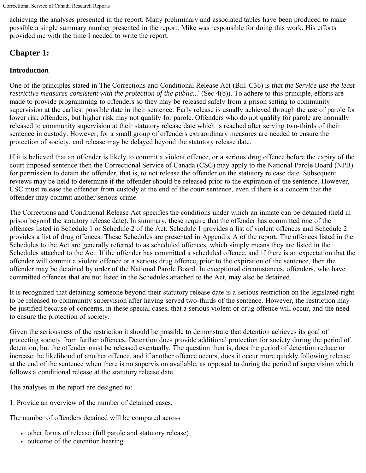achieving the analyses presented in the report. Many preliminary and associated tables have been produced to make possible a single summary number presented in the report. Mike was responsible for doing this work. His efforts provided me with the time I needed to write the report.

# <span id="page-3-0"></span>**Chapter 1:**

# **Introduction**

One of the principles stated in The Corrections and Conditional Release Act (Bill-C36) is *that the Service use the least restrictive measures consistent with the protection of the public...*' (Sec 4(b)). To adhere to this principle, efforts are made to provide programming to offenders so they may be released safely from a prison setting to community supervision at the earliest possible date in their sentence. Early release is usually achieved through the use of parole for lower risk offenders, but higher risk may not qualify for parole. Offenders who do not qualify for parole are normally released to community supervision at their statutory release date which is reached after serving two-thirds of their sentence in custody. However, for a small group of offenders extraordinary measures are needed to ensure the protection of society, and release may be delayed beyond the statutory release date.

If it is believed that an offender is likely to commit a violent offence, or a serious drug offence before the expiry of the court imposed sentence then the Correctional Service of Canada (CSC) may apply to the National Parole Board (NPB) for permission to detain the offender, that is, to not release the offender on the statutory release date. Subsequent reviews may be held to determine if the offender should be released prior to the expiration of the sentence. However, CSC must release the offender from custody at the end of the court sentence, even if there is a concern that the offender may commit another serious crime.

The Corrections and Conditional Release Act specifies the conditions under which an inmate can be detained (held in prison beyond the statutory release date). In summary, these require that the offender has committed one of the offences listed in Schedule 1 or Schedule 2 of the Act. Schedule 1 provides a list of violent offences and Schedule 2 provides a list of drug offences. These Schedules are presented in Appendix A of the report. The offences listed in the Schedules to the Act are generally referred to as scheduled offences, which simply means they are listed in the Schedules attached to the Act. If the offender has committed a scheduled offence, and if there is an expectation that the offender will commit a violent offence or a serious drug offence, prior to the expiration of the sentence, then the offender may be detained by order of the National Parole Board. In exceptional circumstances, offenders, who have committed offences that are not listed in the Schedules attached to the Act, may also be detained.

It is recognized that detaining someone beyond their statutory release date is a serious restriction on the legislated right to be released to community supervision after having served two-thirds of the sentence. However, the restriction may be justified because of concerns, in these special cases, that a serious violent or drug offence will occur, and the need to ensure the protection of society.

Given the seriousness of the restriction it should be possible to demonstrate that detention achieves its goal of protecting society from further offences. Detention does provide additional protection for society during the period of detention, but the offender must be released eventually. The question then is, does the period of detention reduce or increase the likelihood of another offence, and if another offence occurs, does it occur more quickly following release at the end of the sentence when there is no supervision available, as opposed to during the period of supervision which follows a conditional release at the statutory release date.

The analyses in the report are designed to:

1. Provide an overview of the number of detained cases.

The number of offenders detained will be compared across

- other forms of release (full parole and statutory release)
- outcome of the detention hearing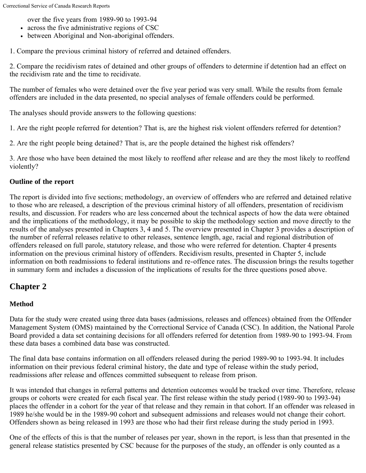over the five years from 1989-90 to 1993-94

- across the five administrative regions of CSC
- between Aboriginal and Non-aboriginal offenders.

1. Compare the previous criminal history of referred and detained offenders.

2. Compare the recidivism rates of detained and other groups of offenders to determine if detention had an effect on the recidivism rate and the time to recidivate.

The number of females who were detained over the five year period was very small. While the results from female offenders are included in the data presented, no special analyses of female offenders could be performed.

The analyses should provide answers to the following questions:

1. Are the right people referred for detention? That is, are the highest risk violent offenders referred for detention?

2. Are the right people being detained? That is, are the people detained the highest risk offenders?

3. Are those who have been detained the most likely to reoffend after release and are they the most likely to reoffend violently?

# **Outline of the report**

The report is divided into five sections; methodology, an overview of offenders who are referred and detained relative to those who are released, a description of the previous criminal history of all offenders, presentation of recidivism results, and discussion. For readers who are less concerned about the technical aspects of how the data were obtained and the implications of the methodology, it may be possible to skip the methodology section and move directly to the results of the analyses presented in Chapters 3, 4 and 5. The overview presented in Chapter 3 provides a description of the number of referral releases relative to other releases, sentence length, age, racial and regional distribution of offenders released on full parole, statutory release, and those who were referred for detention. Chapter 4 presents information on the previous criminal history of offenders. Recidivism results, presented in Chapter 5, include information on both readmissions to federal institutions and re-offence rates. The discussion brings the results together in summary form and includes a discussion of the implications of results for the three questions posed above.

# <span id="page-4-0"></span>**Chapter 2**

# **Method**

Data for the study were created using three data bases (admissions, releases and offences) obtained from the Offender Management System (OMS) maintained by the Correctional Service of Canada (CSC). In addition, the National Parole Board provided a data set containing decisions for all offenders referred for detention from 1989-90 to 1993-94. From these data bases a combined data base was constructed.

The final data base contains information on all offenders released during the period 1989-90 to 1993-94. It includes information on their previous federal criminal history, the date and type of release within the study period, readmissions after release and offences committed subsequent to release from prison.

It was intended that changes in referral patterns and detention outcomes would be tracked over time. Therefore, release groups or cohorts were created for each fiscal year. The first release within the study period (1989-90 to 1993-94) places the offender in a cohort for the year of that release and they remain in that cohort. If an offender was released in 1989 he/she would be in the 1989-90 cohort and subsequent admissions and releases would not change their cohort. Offenders shown as being released in 1993 are those who had their first release during the study period in 1993.

One of the effects of this is that the number of releases per year, shown in the report, is less than that presented in the general release statistics presented by CSC because for the purposes of the study, an offender is only counted as a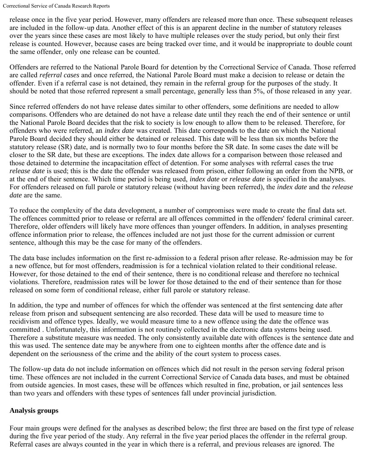release once in the five year period. However, many offenders are released more than once. These subsequent releases are included in the follow-up data. Another effect of this is an apparent decline in the number of statutory releases over the years since these cases are most likely to have multiple releases over the study period, but only their first release is counted. However, because cases are being tracked over time, and it would be inappropriate to double count the same offender, only one release can be counted.

Offenders are referred to the National Parole Board for detention by the Correctional Service of Canada. Those referred are called *referral cases* and once referred, the National Parole Board must make a decision to release or detain the offender. Even if a referral case is not detained, they remain in the referral group for the purposes of the study. It should be noted that those referred represent a small percentage, generally less than 5%, of those released in any year.

Since referred offenders do not have release dates similar to other offenders, some definitions are needed to allow comparisons. Offenders who are detained do not have a release date until they reach the end of their sentence or until the National Parole Board decides that the risk to society is low enough to allow them to be released. Therefore, for offenders who were referred, an *index date* was created. This date corresponds to the date on which the National Parole Board decided they should either be detained or released. This date will be less than six months before the statutory release (SR) date, and is normally two to four months before the SR date. In some cases the date will be closer to the SR date, but these are exceptions. The index date allows for a comparison between those released and those detained to determine the incapacitation effect of detention. For some analyses with referral cases the true *release date* is used; this is the date the offender was released from prison, either following an order from the NPB, or at the end of their sentence. Which time period is being used, *index date* or *release date* is specified in the analyses. For offenders released on full parole or statutory release (without having been referred), the *index date* and the *release date* are the same.

To reduce the complexity of the data development, a number of compromises were made to create the final data set. The offences committed prior to release or referral are all offences committed in the offenders' federal criminal career. Therefore, older offenders will likely have more offences than younger offenders. In addition, in analyses presenting offence information prior to release, the offences included are not just those for the current admission or current sentence, although this may be the case for many of the offenders.

The data base includes information on the first re-admission to a federal prison after release. Re-admission may be for a new offence, but for most offenders, readmission is for a technical violation related to their conditional release. However, for those detained to the end of their sentence, there is no conditional release and therefore no technical violations. Therefore, readmission rates will be lower for those detained to the end of their sentence than for those released on some form of conditional release, either full parole or statutory release.

In addition, the type and number of offences for which the offender was sentenced at the first sentencing date after release from prison and subsequent sentencing are also recorded. These data will be used to measure time to recidivism and offence types. Ideally, we would measure time to a new offence using the date the offence was committed . Unfortunately, this information is not routinely collected in the electronic data systems being used. Therefore a substitute measure was needed. The only consistently available date with offences is the sentence date and this was used. The sentence date may be anywhere from one to eighteen months after the offence date and is dependent on the seriousness of the crime and the ability of the court system to process cases.

The follow-up data do not include information on offences which did not result in the person serving federal prison time. These offences are not included in the current Correctional Service of Canada data bases, and must be obtained from outside agencies. In most cases, these will be offences which resulted in fine, probation, or jail sentences less than two years and offenders with these types of sentences fall under provincial jurisdiction.

# **Analysis groups**

Four main groups were defined for the analyses as described below; the first three are based on the first type of release during the five year period of the study. Any referral in the five year period places the offender in the referral group. Referral cases are always counted in the year in which there is a referral, and previous releases are ignored. The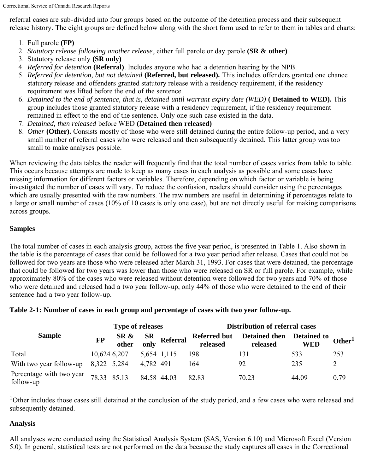referral cases are sub-divided into four groups based on the outcome of the detention process and their subsequent release history. The eight groups are defined below along with the short form used to refer to them in tables and charts:

- 1. Full parole **(FP)**
- 2. *Statutory release following another release*, either full parole or day parole **(SR & other)**
- 3. Statutory release only **(SR only)**
- 4. *Referred for detention* **(Referral)**. Includes anyone who had a detention hearing by the NPB.
- 5. *Referred for detention, but not detained* **(Referred, but released).** This includes offenders granted one chance statutory release and offenders granted statutory release with a residency requirement, if the residency requirement was lifted before the end of the sentence.
- 6. *Detained to the end of sentence, that is, detained until warrant expiry date (WED)* **( Detained to WED).** This group includes those granted statutory release with a residency requirement, if the residency requirement remained in effect to the end of the sentence. Only one such case existed in the data.
- 7. *Detained, then released* before WED **(Detained then released)**
- 8. *Other* **(Other).** Consists mostly of those who were still detained during the entire follow-up period, and a very small number of referral cases who were released and then subsequently detained. This latter group was too small to make analyses possible.

When reviewing the data tables the reader will frequently find that the total number of cases varies from table to table. This occurs because attempts are made to keep as many cases in each analysis as possible and some cases have missing information for different factors or variables. Therefore, depending on which factor or variable is being investigated the number of cases will vary. To reduce the confusion, readers should consider using the percentages which are usually presented with the raw numbers. The raw numbers are useful in determining if percentages relate to a large or small number of cases (10% of 10 cases is only one case), but are not directly useful for making comparisons across groups.

# **Samples**

The total number of cases in each analysis group, across the five year period, is presented in Table 1. Also shown in the table is the percentage of cases that could be followed for a two year period after release. Cases that could not be followed for two years are those who were released after March 31, 1993. For cases that were detained, the percentage that could be followed for two years was lower than those who were released on SR or full parole. For example, while approximately 80% of the cases who were released without detention were followed for two years and 70% of those who were detained and released had a two year follow-up, only 44% of those who were detained to the end of their sentence had a two year follow-up.

#### **Table 2-1: Number of cases in each group and percentage of cases with two year follow-up.**

|                                       | <b>Type of releases</b> |  |             |                                | <b>Distribution of referral cases</b> |                                                    |            |           |
|---------------------------------------|-------------------------|--|-------------|--------------------------------|---------------------------------------|----------------------------------------------------|------------|-----------|
| <b>Sample</b>                         | <b>FP</b>               |  |             | SR & SR<br>other only Referral | released                              | Referred but Detained then Detained to<br>released | <b>WED</b> | Other $1$ |
| Total                                 | 10,624 6,207            |  | 5,654 1,115 |                                | 198                                   | 131                                                | 533        | 253       |
| With two year follow-up $8,322$ 5,284 |                         |  | 4,782 491   |                                | 164                                   | 92                                                 | 235        |           |
| Percentage with two year<br>follow-up | 78.33 85.13             |  | 84.58 44.03 |                                | 82.83                                 | 70.23                                              | 44.09      | 0.79      |

<sup>1</sup>Other includes those cases still detained at the conclusion of the study period, and a few cases who were released and subsequently detained.

# **Analysis**

All analyses were conducted using the Statistical Analysis System (SAS, Version 6.10) and Microsoft Excel (Version 5.0). In general, statistical tests are not performed on the data because the study captures all cases in the Correctional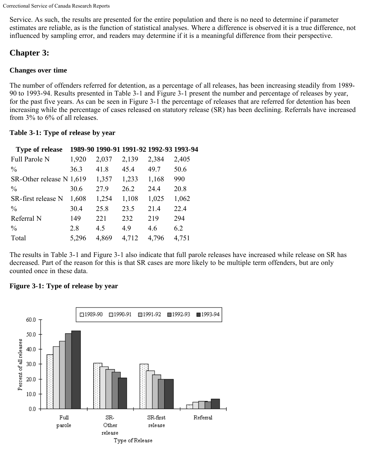Service. As such, the results are presented for the entire population and there is no need to determine if parameter estimates are reliable, as is the function of statistical analyses. Where a difference is observed it is a true difference, not influenced by sampling error, and readers may determine if it is a meaningful difference from their perspective.

# <span id="page-7-0"></span>**Chapter 3:**

# **Changes over time**

The number of offenders referred for detention, as a percentage of all releases, has been increasing steadily from 1989- 90 to 1993-94. Results presented in Table 3-1 and Figure 3-1 present the number and percentage of releases by year, for the past five years. As can be seen in Figure 3-1 the percentage of releases that are referred for detention has been increasing while the percentage of cases released on statutory release (SR) has been declining. Referrals have increased from 3% to 6% of all releases.

# **Table 3-1: Type of release by year**

| <b>Type of release</b>   |       |       | 1989-90 1990-91 1991-92 1992-93 1993-94 |       |       |
|--------------------------|-------|-------|-----------------------------------------|-------|-------|
| Full Parole N            | 1,920 | 2,037 | 2,139                                   | 2,384 | 2,405 |
| $\frac{0}{0}$            | 36.3  | 41.8  | 45.4                                    | 49.7  | 50.6  |
| SR-Other release N 1,619 |       | 1,357 | 1,233                                   | 1,168 | 990   |
| $\frac{0}{0}$            | 30.6  | 27.9  | 26.2                                    | 24.4  | 20.8  |
| SR-first release N       | 1,608 | 1,254 | 1,108                                   | 1,025 | 1,062 |
| $\frac{0}{0}$            | 30.4  | 25.8  | 23.5                                    | 21.4  | 22.4  |
| Referral N               | 149   | 221   | 232                                     | 219   | 294   |
| $\frac{0}{0}$            | 2.8   | 45    | 4.9                                     | 46    | 6.2   |
| Total                    | 5,296 | 4,869 | 4,712                                   | 4,796 | 4,751 |

The results in Table 3-1 and Figure 3-1 also indicate that full parole releases have increased while release on SR has decreased. Part of the reason for this is that SR cases are more likely to be multiple term offenders, but are only counted once in these data.

# **Figure 3-1: Type of release by year**

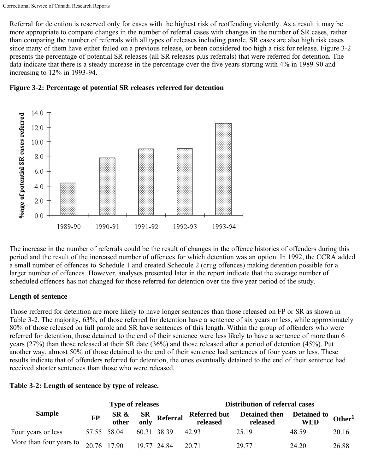Referral for detention is reserved only for cases with the highest risk of reoffending violently. As a result it may be more appropriate to compare changes in the number of referral cases with changes in the number of SR cases, rather than comparing the number of referrals with all types of releases including parole. SR cases are also high risk cases since many of them have either failed on a previous release, or been considered too high a risk for release. Figure 3-2 presents the percentage of potential SR releases (all SR releases plus referrals) that were referred for detention. The data indicate that there is a steady increase in the percentage over the five years starting with 4% in 1989-90 and increasing to 12% in 1993-94.





The increase in the number of referrals could be the result of changes in the offence histories of offenders during this period and the result of the increased number of offences for which detention was an option. In 1992, the CCRA added a small number of offences to Schedule 1 and created Schedule 2 (drug offences) making detention possible for a larger number of offences. However, analyses presented later in the report indicate that the average number of scheduled offences has not changed for those referred for detention over the five year period of the study.

# **Length of sentence**

Those referred for detention are more likely to have longer sentences than those released on FP or SR as shown in Table 3-2. The majority, 63%, of those referred for detention have a sentence of six years or less, while approximately 80% of those released on full parole and SR have sentences of this length. Within the group of offenders who were referred for detention, those detained to the end of their sentence were less likely to have a sentence of more than 6 years (27%) than those released at their SR date (36%) and those released after a period of detention (45%). Put another way, almost 50% of those detained to the end of their sentence had sentences of four years or less. These results indicate that of offenders referred for detention, the ones eventually detained to the end of their sentence had received shorter sentences than those who were released.

# **Table 3-2: Length of sentence by type of release.**

|                                       |             | <b>Type of releases</b> |                                | <b>Distribution of referral cases</b> |                                                    |            |           |
|---------------------------------------|-------------|-------------------------|--------------------------------|---------------------------------------|----------------------------------------------------|------------|-----------|
| <b>Sample</b>                         | <b>FP</b>   |                         | SR & SR<br>other only Referral | released                              | Referred but Detained then Detained to<br>released | <b>WED</b> | Other $1$ |
| Four years or less                    | 57.55 58.04 |                         | 60.31 38.39 42.93              |                                       | 25.19                                              | 48.59      | 20.16     |
| More than four years to $20.76$ 17.90 |             |                         | 19.77 24.84                    | 20.71                                 | 29.77                                              | 24.20      | 26.88     |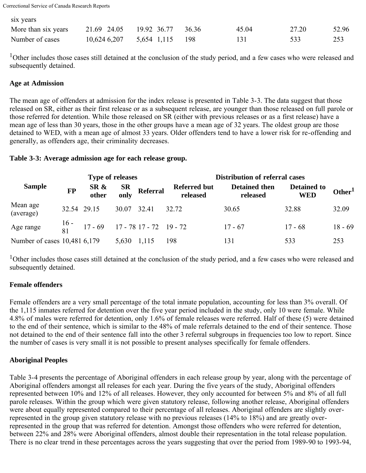| six years           |                               |       |       |       |
|---------------------|-------------------------------|-------|-------|-------|
| More than six years | 21.69 24.05 19.92 36.77 36.36 | 45.04 | 27.20 | 52.96 |
| Number of cases     | $10,624,6207$ 5.654 1.115 198 | 131   |       | 253   |

<sup>1</sup>Other includes those cases still detained at the conclusion of the study period, and a few cases who were released and subsequently detained.

#### **Age at Admission**

six years

The mean age of offenders at admission for the index release is presented in Table 3-3. The data suggest that those released on SR, either as their first release or as a subsequent release, are younger than those released on full parole or those referred for detention. While those released on SR (either with previous releases or as a first release) have a mean age of less than 30 years, those in the other groups have a mean age of 32 years. The oldest group are those detained to WED, with a mean age of almost 33 years. Older offenders tend to have a lower risk for re-offending and generally, as offenders age, their criminality decreases.

#### **Table 3-3: Average admission age for each release group.**

|                              | <b>Type of releases</b> |                                                 |       |                                | <b>Distribution of referral cases</b> |                                  |                                  |                    |  |
|------------------------------|-------------------------|-------------------------------------------------|-------|--------------------------------|---------------------------------------|----------------------------------|----------------------------------|--------------------|--|
| <b>Sample</b>                | <b>FP</b>               |                                                 |       | SR & SR<br>other only Referral | <b>Referred but</b><br>released       | <b>Detained then</b><br>released | <b>Detained to</b><br><b>WED</b> | Other <sup>1</sup> |  |
| Mean age<br>(average)        | 32.54 29.15             |                                                 |       | 30.07 32.41 32.72              |                                       | 30.65                            | 32.88                            | 32.09              |  |
| Age range                    |                         | $\frac{16}{81}$ 17 - 69 17 - 78 17 - 72 19 - 72 |       |                                |                                       | $17 - 67$                        | $17 - 68$                        | $18 - 69$          |  |
| Number of cases 10,481 6,179 |                         |                                                 | 5,630 | 1,115                          | 198                                   | 131                              | 533                              | 253                |  |

<sup>1</sup>Other includes those cases still detained at the conclusion of the study period, and a few cases who were released and subsequently detained.

# **Female offenders**

Female offenders are a very small percentage of the total inmate population, accounting for less than 3% overall. Of the 1,115 inmates referred for detention over the five year period included in the study, only 10 were female. While 4.8% of males were referred for detention, only 1.6% of female releases were referred. Half of these (5) were detained to the end of their sentence, which is similar to the 48% of male referrals detained to the end of their sentence. Those not detained to the end of their sentence fall into the other 3 referral subgroups in frequencies too low to report. Since the number of cases is very small it is not possible to present analyses specifically for female offenders.

# **Aboriginal Peoples**

Table 3-4 presents the percentage of Aboriginal offenders in each release group by year, along with the percentage of Aboriginal offenders amongst all releases for each year. During the five years of the study, Aboriginal offenders represented between 10% and 12% of all releases. However, they only accounted for between 5% and 8% of all full parole releases. Within the group which were given statutory release, following another release, Aboriginal offenders were about equally represented compared to their percentage of all releases. Aboriginal offenders are slightly overrepresented in the group given statutory release with no previous releases (14% to 18%) and are greatly overrepresented in the group that was referred for detention. Amongst those offenders who were referred for detention, between 22% and 28% were Aboriginal offenders, almost double their representation in the total release population. There is no clear trend in these percentages across the years suggesting that over the period from 1989-90 to 1993-94,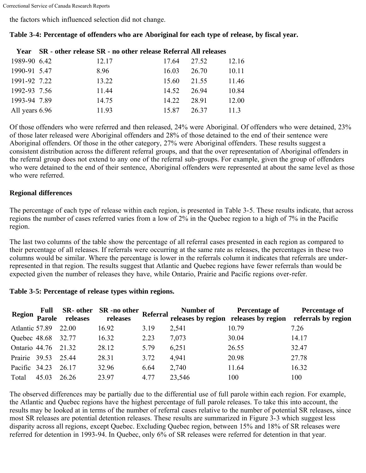the factors which influenced selection did not change.

|                | Year SR - other release SR - no other release Referral All releases |       |       |       |
|----------------|---------------------------------------------------------------------|-------|-------|-------|
| 1989-90 6.42   | 12.17                                                               | 17.64 | 27.52 | 12.16 |
| 1990-91 5.47   | 8.96                                                                | 16.03 | 26.70 | 10.11 |
| 1991-92 7.22   | 13.22                                                               | 15.60 | 21.55 | 11.46 |
| 1992-93 7.56   | 11.44                                                               | 14.52 | 26.94 | 10.84 |
| 1993-94 7.89   | 14.75                                                               | 14.22 | 28.91 | 12.00 |
| All years 6.96 | 11.93                                                               | 15.87 | 26.37 | 113   |

# **Table 3-4: Percentage of offenders who are Aboriginal for each type of release, by fiscal year.**

Of those offenders who were referred and then released, 24% were Aboriginal. Of offenders who were detained, 23% of those later released were Aboriginal offenders and 28% of those detained to the end of their sentence were Aboriginal offenders. Of those in the other category, 27% were Aboriginal offenders. These results suggest a consistent distribution across the different referral groups, and that the over representation of Aboriginal offenders in the referral group does not extend to any one of the referral sub-groups. For example, given the group of offenders who were detained to the end of their sentence, Aboriginal offenders were represented at about the same level as those who were referred

#### **Regional differences**

The percentage of each type of release within each region, is presented in Table 3-5. These results indicate, that across regions the number of cases referred varies from a low of 2% in the Quebec region to a high of 7% in the Pacific region.

The last two columns of the table show the percentage of all referral cases presented in each region as compared to their percentage of all releases. If referrals were occurring at the same rate as releases, the percentages in these two columns would be similar. Where the percentage is lower in the referrals column it indicates that referrals are underrepresented in that region. The results suggest that Atlantic and Quebec regions have fewer referrals than would be expected given the number of releases they have, while Ontario, Prairie and Pacific regions over-refer.

#### **Table 3-5: Percentage of release types within regions.**

| <b>Region</b>      | <b>Full</b><br>Parole | releases | SR- other SR-no other Referral<br>releases |      | Number of | <b>Percentage of</b> | Percentage of<br>releases by region releases by region referrals by region |
|--------------------|-----------------------|----------|--------------------------------------------|------|-----------|----------------------|----------------------------------------------------------------------------|
| Atlantic 57.89     |                       | 22.00    | 16.92                                      | 3.19 | 2,541     | 10.79                | 7.26                                                                       |
| Quebec 48.68 32.77 |                       |          | 16.32                                      | 2.23 | 7,073     | 30.04                | 14.17                                                                      |
| Ontario 44.76      |                       | 21.32    | 28.12                                      | 5.79 | 6,251     | 26.55                | 32.47                                                                      |
| Prairie 39.53      |                       | 25.44    | 28.31                                      | 3.72 | 4,941     | 20.98                | 27.78                                                                      |
| Pacific 34.23      |                       | 26.17    | 32.96                                      | 6.64 | 2,740     | 11.64                | 16.32                                                                      |
| Total              | 45.03                 | 26.26    | 23.97                                      | 4.77 | 23,546    | 100                  | 100                                                                        |

The observed differences may be partially due to the differential use of full parole within each region. For example, the Atlantic and Quebec regions have the highest percentage of full parole releases. To take this into account, the results may be looked at in terms of the number of referral cases relative to the number of potential SR releases, since most SR releases are potential detention releases. These results are summarized in Figure 3-3 which suggest less disparity across all regions, except Quebec. Excluding Quebec region, between 15% and 18% of SR releases were referred for detention in 1993-94. In Quebec, only 6% of SR releases were referred for detention in that year.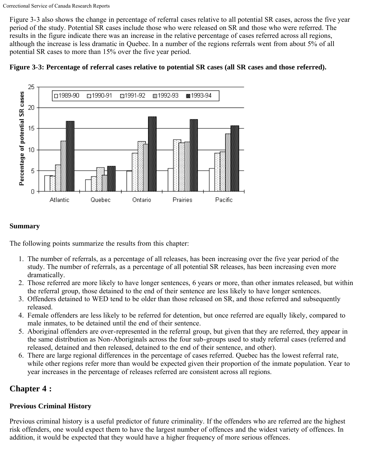Figure 3-3 also shows the change in percentage of referral cases relative to all potential SR cases, across the five year period of the study. Potential SR cases include those who were released on SR and those who were referred. The results in the figure indicate there was an increase in the relative percentage of cases referred across all regions, although the increase is less dramatic in Quebec. In a number of the regions referrals went from about 5% of all potential SR cases to more than 15% over the five year period.





# **Summary**

The following points summarize the results from this chapter:

- 1. The number of referrals, as a percentage of all releases, has been increasing over the five year period of the study. The number of referrals, as a percentage of all potential SR releases, has been increasing even more dramatically.
- 2. Those referred are more likely to have longer sentences, 6 years or more, than other inmates released, but within the referral group, those detained to the end of their sentence are less likely to have longer sentences.
- 3. Offenders detained to WED tend to be older than those released on SR, and those referred and subsequently released.
- 4. Female offenders are less likely to be referred for detention, but once referred are equally likely, compared to male inmates, to be detained until the end of their sentence.
- 5. Aboriginal offenders are over-represented in the referral group, but given that they are referred, they appear in the same distribution as Non-Aboriginals across the four sub-groups used to study referral cases (referred and released, detained and then released, detained to the end of their sentence, and other).
- 6. There are large regional differences in the percentage of cases referred. Quebec has the lowest referral rate, while other regions refer more than would be expected given their proportion of the inmate population. Year to year increases in the percentage of releases referred are consistent across all regions.

# <span id="page-11-0"></span>**Chapter 4 :**

# **Previous Criminal History**

Previous criminal history is a useful predictor of future criminality. If the offenders who are referred are the highest risk offenders, one would expect them to have the largest number of offences and the widest variety of offences. In addition, it would be expected that they would have a higher frequency of more serious offences.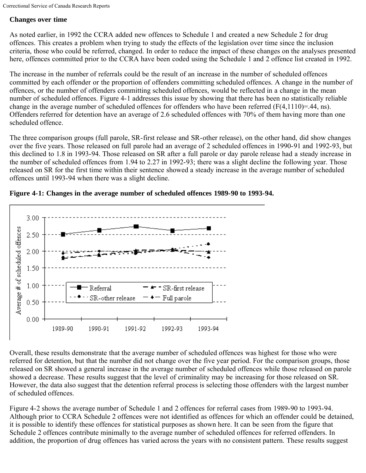# **Changes over time**

As noted earlier, in 1992 the CCRA added new offences to Schedule 1 and created a new Schedule 2 for drug offences. This creates a problem when trying to study the effects of the legislation over time since the inclusion criteria, those who could be referred, changed. In order to reduce the impact of these changes on the analyses presented here, offences committed prior to the CCRA have been coded using the Schedule 1 and 2 offence list created in 1992.

The increase in the number of referrals could be the result of an increase in the number of scheduled offences committed by each offender or the proportion of offenders committing scheduled offences. A change in the number of offences, or the number of offenders committing scheduled offences, would be reflected in a change in the mean number of scheduled offences. Figure 4-1 addresses this issue by showing that there has been no statistically reliable change in the average number of scheduled offences for offenders who have been referred (F(4,1110)=.44, ns). Offenders referred for detention have an average of 2.6 scheduled offences with 70% of them having more than one scheduled offence.

The three comparison groups (full parole, SR-first release and SR-other release), on the other hand, did show changes over the five years. Those released on full parole had an average of 2 scheduled offences in 1990-91 and 1992-93, but this declined to 1.8 in 1993-94. Those released on SR after a full parole or day parole release had a steady increase in the number of scheduled offences from 1.94 to 2.27 in 1992-93; there was a slight decline the following year. Those released on SR for the first time within their sentence showed a steady increase in the average number of scheduled offences until 1993-94 when there was a slight decline.



**Figure 4-1: Changes in the average number of scheduled offences 1989-90 to 1993-94.**

Overall, these results demonstrate that the average number of scheduled offences was highest for those who were referred for detention, but that the number did not change over the five year period. For the comparison groups, those released on SR showed a general increase in the average number of scheduled offences while those released on parole showed a decrease. These results suggest that the level of criminality may be increasing for those released on SR. However, the data also suggest that the detention referral process is selecting those offenders with the largest number of scheduled offences.

Figure 4-2 shows the average number of Schedule 1 and 2 offences for referral cases from 1989-90 to 1993-94. Although prior to CCRA Schedule 2 offences were not identified as offences for which an offender could be detained, it is possible to identify these offences for statistical purposes as shown here. It can be seen from the figure that Schedule 2 offences contribute minimally to the average number of scheduled offences for referred offenders. In addition, the proportion of drug offences has varied across the years with no consistent pattern. These results suggest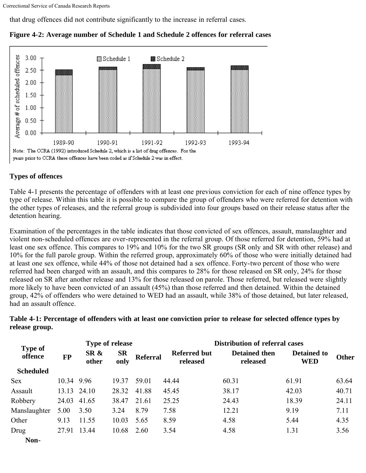that drug offences did not contribute significantly to the increase in referral cases.



#### **Figure 4-2: Average number of Schedule 1 and Schedule 2 offences for referral cases**

#### **Types of offences**

Table 4-1 presents the percentage of offenders with at least one previous conviction for each of nine offence types by type of release. Within this table it is possible to compare the group of offenders who were referred for detention with the other types of releases, and the referral group is subdivided into four groups based on their release status after the detention hearing.

Examination of the percentages in the table indicates that those convicted of sex offences, assault, manslaughter and violent non-scheduled offences are over-represented in the referral group. Of those referred for detention, 59% had at least one sex offence. This compares to 19% and 10% for the two SR groups (SR only and SR with other release) and 10% for the full parole group. Within the referred group, approximately 60% of those who were initially detained had at least one sex offence, while 44% of those not detained had a sex offence. Forty-two percent of those who were referred had been charged with an assault, and this compares to 28% for those released on SR only, 24% for those released on SR after another release and 13% for those released on parole. Those referred, but released were slightly more likely to have been convicted of an assault (45%) than those referred and then detained. Within the detained group, 42% of offenders who were detained to WED had an assault, while 38% of those detained, but later released, had an assault offence.

**Table 4-1: Percentage of offenders with at least one conviction prior to release for selected offence types by release group.**

| <b>Type of</b>   |            |               | Type of release   |                 |                                 | <b>Distribution of referral cases</b> |                                  |       |  |  |  |
|------------------|------------|---------------|-------------------|-----------------|---------------------------------|---------------------------------------|----------------------------------|-------|--|--|--|
| offence          | <b>FP</b>  | SR &<br>other | <b>SR</b><br>only | <b>Referral</b> | <b>Referred but</b><br>released | <b>Detained then</b><br>released      | <b>Detained to</b><br><b>WED</b> | Other |  |  |  |
| <b>Scheduled</b> |            |               |                   |                 |                                 |                                       |                                  |       |  |  |  |
| <b>Sex</b>       | 10.34 9.96 |               | 19.37             | 59.01           | 44.44                           | 60.31                                 | 61.91                            | 63.64 |  |  |  |
| Assault          |            | 13.13 24.10   | 28.32             | 41.88           | 45.45                           | 38.17                                 | 42.03                            | 40.71 |  |  |  |
| Robbery          | 24.03      | 41.65         | 38.47             | 21.61           | 25.25                           | 24.43                                 | 18.39                            | 24.11 |  |  |  |
| Manslaughter     | 5.00       | 3.50          | 3.24              | 8.79            | 7.58                            | 12.21                                 | 9.19                             | 7.11  |  |  |  |
| Other            | 9.13       | 11.55         | 10.03             | 5.65            | 8.59                            | 4.58                                  | 5.44                             | 4.35  |  |  |  |
| Drug             | 27.91      | 13.44         | 10.68             | 2.60            | 3.54                            | 4.58                                  | 1.31                             | 3.56  |  |  |  |
| Non-             |            |               |                   |                 |                                 |                                       |                                  |       |  |  |  |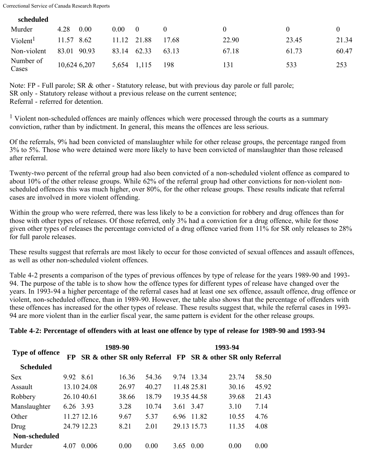**scheduled**

| senegara             |              |                                 |       |       |       |       |
|----------------------|--------------|---------------------------------|-------|-------|-------|-------|
| Murder               | 4.28<br>0.00 | 0.00 <sub>1</sub><br>$\bigcirc$ |       |       |       |       |
| Violent <sup>1</sup> | 11.57 8.62   | 11.12 21.88                     | 17.68 | 22.90 | 23.45 | 21.34 |
| Non-violent          | 83.01 90.93  | 62.33<br>83.14                  | 63.13 | 67.18 | 61.73 | 60.47 |
| Number of<br>Cases   | 10,624 6,207 | 5,654 1,115                     | 198   | 131   | 533   | 253   |

Note: FP - Full parole; SR & other - Statutory release, but with previous day parole or full parole; SR only - Statutory release without a previous release on the current sentence; Referral - referred for detention.

<sup>1</sup> Violent non-scheduled offences are mainly offences which were processed through the courts as a summary conviction, rather than by indictment. In general, this means the offences are less serious.

Of the referrals, 9% had been convicted of manslaughter while for other release groups, the percentage ranged from 3% to 5%. Those who were detained were more likely to have been convicted of manslaughter than those released after referral.

Twenty-two percent of the referral group had also been convicted of a non-scheduled violent offence as compared to about 10% of the other release groups. While 62% of the referral group had other convictions for non-violent nonscheduled offences this was much higher, over 80%, for the other release groups. These results indicate that referral cases are involved in more violent offending.

Within the group who were referred, there was less likely to be a conviction for robbery and drug offences than for those with other types of releases. Of those referred, only 3% had a conviction for a drug offence, while for those given other types of releases the percentage convicted of a drug offence varied from 11% for SR only releases to 28% for full parole releases.

These results suggest that referrals are most likely to occur for those convicted of sexual offences and assault offences, as well as other non-scheduled violent offences.

Table 4-2 presents a comparison of the types of previous offences by type of release for the years 1989-90 and 1993- 94. The purpose of the table is to show how the offence types for different types of release have changed over the years. In 1993-94 a higher percentage of the referral cases had at least one sex offence, assault offence, drug offence or violent, non-scheduled offence, than in 1989-90. However, the table also shows that the percentage of offenders with these offences has increased for the other types of release. These results suggest that, while the referral cases in 1993- 94 are more violent than in the earlier fiscal year, the same pattern is evident for the other release groups.

#### **Table 4-2: Percentage of offenders with at least one offence by type of release for 1989-90 and 1993-94**

|                        |             | 1989-90     |       |       | 1993-94   |                                                            |       |       |
|------------------------|-------------|-------------|-------|-------|-----------|------------------------------------------------------------|-------|-------|
| <b>Type of offence</b> | <b>FP</b>   |             |       |       |           | SR & other SR only Referral FP SR & other SR only Referral |       |       |
| <b>Scheduled</b>       |             |             |       |       |           |                                                            |       |       |
| <b>Sex</b>             | 9.92 8.61   |             | 16.36 | 54.36 |           | 9.74 13.34                                                 | 23.74 | 58.50 |
| Assault                |             | 13.10 24.08 | 26.97 | 40.27 |           | 11.48 25.81                                                | 30.16 | 45.92 |
| Robbery                | 26.10 40.61 |             | 38.66 | 18.79 |           | 19.35 44.58                                                | 39.68 | 21.43 |
| Manslaughter           | 6.26 3.93   |             | 3.28  | 10.74 | 3.61 3.47 |                                                            | 3.10  | 7.14  |
| Other                  |             | 11.27 12.16 | 9.67  | 5.37  |           | 6.96 11.82                                                 | 10.55 | 4.76  |
| Drug                   |             | 24.79 12.23 | 8.21  | 2.01  |           | 29.13 15.73                                                | 11.35 | 4.08  |
| Non-scheduled          |             |             |       |       |           |                                                            |       |       |
| Murder                 | 4.07        | 0.006       | 0.00  | 0.00  | 3.65      | 0.00                                                       | 0.00  | 0.00  |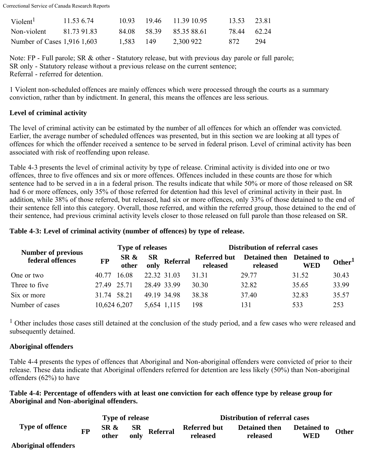| Violent <sup>1</sup>        | 11.53 6.74  |           | 10.93 19.46 11.39.10.95 | 13.53       | 23.81 |
|-----------------------------|-------------|-----------|-------------------------|-------------|-------|
| Non-violent                 | 81 73 91 83 | 84.08     | 58 39 85 35 88 61       | 78.44 62.24 |       |
| Number of Cases 1,916 1,603 |             | 1.583 149 | 2,300 922               | 872.        | 294   |

Note: FP - Full parole; SR & other - Statutory release, but with previous day parole or full parole; SR only - Statutory release without a previous release on the current sentence; Referral - referred for detention.

1 Violent non-scheduled offences are mainly offences which were processed through the courts as a summary conviction, rather than by indictment. In general, this means the offences are less serious.

#### **Level of criminal activity**

The level of criminal activity can be estimated by the number of all offences for which an offender was convicted. Earlier, the average number of scheduled offences was presented, but in this section we are looking at all types of offences for which the offender received a sentence to be served in federal prison. Level of criminal activity has been associated with risk of reoffending upon release.

Table 4-3 presents the level of criminal activity by type of release. Criminal activity is divided into one or two offences, three to five offences and six or more offences. Offences included in these counts are those for which sentence had to be served in a in a federal prison. The results indicate that while 50% or more of those released on SR had 6 or more offences, only 35% of those referred for detention had this level of criminal activity in their past. In addition, while 38% of those referred, but released, had six or more offences, only 33% of those detained to the end of their sentence fell into this category. Overall, those referred, and within the referred group, those detained to the end of their sentence, had previous criminal activity levels closer to those released on full parole than those released on SR.

#### **Table 4-3: Level of criminal activity (number of offences) by type of release.**

| <b>Number of previous</b> | <b>Type of releases</b> |       |             |                                | <b>Distribution of referral cases</b> |                                  |                                  |                    |
|---------------------------|-------------------------|-------|-------------|--------------------------------|---------------------------------------|----------------------------------|----------------------------------|--------------------|
| federal offences          | <b>FP</b>               |       |             | SR & SR<br>other only Referral | <b>Referred but</b><br>released       | <b>Detained then</b><br>released | <b>Detained to</b><br><b>WED</b> | Other <sup>1</sup> |
| One or two                | 40.77                   | 16.08 | 22.32 31.03 |                                | 31.31                                 | 29.77                            | 31.52                            | 30.43              |
| Three to five             | 27.49                   | 25.71 |             | 28.49 33.99                    | 30.30                                 | 32.82                            | 35.65                            | 33.99              |
| Six or more               | 31 74                   | 58.21 |             | 49.19 34.98                    | 38.38                                 | 37.40                            | 32.83                            | 35.57              |
| Number of cases           | 10,624 6,207            |       |             | 5,654 1,115                    | 198                                   | 131                              | 533                              | 253                |

<sup>1</sup> Other includes those cases still detained at the conclusion of the study period, and a few cases who were released and subsequently detained.

#### **Aboriginal offenders**

Table 4-4 presents the types of offences that Aboriginal and Non-aboriginal offenders were convicted of prior to their release. These data indicate that Aboriginal offenders referred for detention are less likely (50%) than Non-aboriginal offenders (62%) to have

**Table 4-4: Percentage of offenders with at least one conviction for each offence type by release group for Aboriginal and Non-aboriginal offenders.**

|                             |    | <b>Type of release</b> |      |                                       | <b>Distribution of referral cases</b> |                                  |                           |              |
|-----------------------------|----|------------------------|------|---------------------------------------|---------------------------------------|----------------------------------|---------------------------|--------------|
| <b>Type of offence</b><br>. | FP | SR &<br>other          | only | $\frac{\text{SR}}{\text{N}}$ Referral | <b>Referred but</b><br>released       | <b>Detained then</b><br>released | <b>Detained to</b><br>WED | <b>Other</b> |

#### **Aboriginal offenders**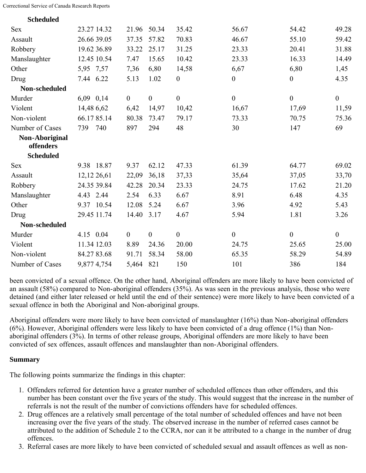| <b>Scheduled</b>            |             |                |                  |                  |                  |                  |                  |
|-----------------------------|-------------|----------------|------------------|------------------|------------------|------------------|------------------|
| <b>Sex</b>                  | 23.27 14.32 | 21.96          | 50.34            | 35.42            | 56.67            | 54.42            | 49.28            |
| Assault                     | 26.66 39.05 | 37.35          | 57.82            | 70.83            | 46.67            | 55.10            | 59.42            |
| Robbery                     | 19.62 36.89 | 33.22          | 25.17            | 31.25            | 23.33            | 20.41            | 31.88            |
| Manslaughter                | 12.45 10.54 | 7.47           | 15.65            | 10.42            | 23.33            | 16.33            | 14.49            |
| Other                       | 5,95 7,57   | 7,36           | 6,80             | 14,58            | 6,67             | 6,80             | 1,45             |
| Drug                        | 7.44 6.22   | 5.13           | 1.02             | $\boldsymbol{0}$ | $\boldsymbol{0}$ | $\overline{0}$   | 4.35             |
| Non-scheduled               |             |                |                  |                  |                  |                  |                  |
| Murder                      | 6,09 0,14   | $\overline{0}$ | $\boldsymbol{0}$ | $\boldsymbol{0}$ | $\boldsymbol{0}$ | $\boldsymbol{0}$ | $\boldsymbol{0}$ |
| Violent                     | 14,48 6,62  | 6,42           | 14,97            | 10,42            | 16,67            | 17,69            | 11,59            |
| Non-violent                 | 66.1785.14  | 80.38          | 73.47            | 79.17            | 73.33            | 70.75            | 75.36            |
| Number of Cases             | 739<br>740  | 897            | 294              | 48               | 30               | 147              | 69               |
| Non-Aboriginal<br>offenders |             |                |                  |                  |                  |                  |                  |
| <b>Scheduled</b>            |             |                |                  |                  |                  |                  |                  |
| <b>Sex</b>                  | 9.38 18.87  | 9.37           | 62.12            | 47.33            | 61.39            | 64.77            | 69.02            |
| Assault                     | 12,12 26,61 | 22,09          | 36,18            | 37,33            | 35,64            | 37,05            | 33,70            |
| Robbery                     | 24.35 39.84 | 42.28          | 20.34            | 23.33            | 24.75            | 17.62            | 21.20            |
| Manslaughter                | 4.43 2.44   | 2.54           | 6.33             | 6.67             | 8.91             | 6.48             | 4.35             |
| Other                       | 9.37 10.54  | 12.08          | 5.24             | 6.67             | 3.96             | 4.92             | 5.43             |
| Drug                        | 29.45 11.74 | 14.40          | 3.17             | 4.67             | 5.94             | 1.81             | 3.26             |
| Non-scheduled               |             |                |                  |                  |                  |                  |                  |
| Murder                      | 4.15 0.04   | $\mathbf{0}$   | $\boldsymbol{0}$ | $\boldsymbol{0}$ | $\boldsymbol{0}$ | $\boldsymbol{0}$ | $\overline{0}$   |
| Violent                     | 11.34 12.03 | 8.89           | 24.36            | 20.00            | 24.75            | 25.65            | 25.00            |
| Non-violent                 | 84.2783.68  | 91.71          | 58.34            | 58.00            | 65.35            | 58.29            | 54.89            |
| Number of Cases             | 9,877 4,754 | 5,464          | 821              | 150              | 101              | 386              | 184              |

been convicted of a sexual offence. On the other hand, Aboriginal offenders are more likely to have been convicted of an assault (58%) compared to Non-aboriginal offenders (35%). As was seen in the previous analysis, those who were detained (and either later released or held until the end of their sentence) were more likely to have been convicted of a sexual offence in both the Aboriginal and Non-aboriginal groups.

Aboriginal offenders were more likely to have been convicted of manslaughter (16%) than Non-aboriginal offenders (6%). However, Aboriginal offenders were less likely to have been convicted of a drug offence (1%) than Nonaboriginal offenders (3%). In terms of other release groups, Aboriginal offenders are more likely to have been convicted of sex offences, assault offences and manslaughter than non-Aboriginal offenders.

#### **Summary**

The following points summarize the findings in this chapter:

- 1. Offenders referred for detention have a greater number of scheduled offences than other offenders, and this number has been constant over the five years of the study. This would suggest that the increase in the number of referrals is not the result of the number of convictions offenders have for scheduled offences.
- 2. Drug offences are a relatively small percentage of the total number of scheduled offences and have not been increasing over the five years of the study. The observed increase in the number of referred cases cannot be attributed to the addition of Schedule 2 to the CCRA, nor can it be attributed to a change in the number of drug offences.
- 3. Referral cases are more likely to have been convicted of scheduled sexual and assault offences as well as non-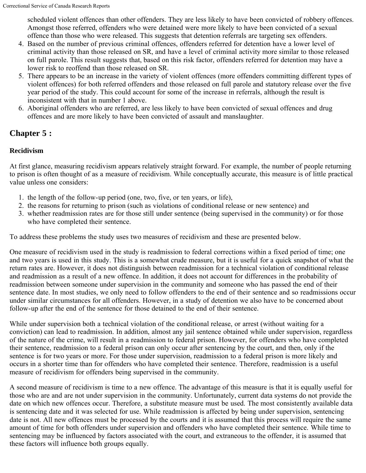scheduled violent offences than other offenders. They are less likely to have been convicted of robbery offences. Amongst those referred, offenders who were detained were more likely to have been convicted of a sexual offence than those who were released. This suggests that detention referrals are targeting sex offenders.

- 4. Based on the number of previous criminal offences, offenders referred for detention have a lower level of criminal activity than those released on SR, and have a level of criminal activity more similar to those released on full parole. This result suggests that, based on this risk factor, offenders referred for detention may have a lower risk to reoffend than those released on SR.
- 5. There appears to be an increase in the variety of violent offences (more offenders committing different types of violent offences) for both referred offenders and those released on full parole and statutory release over the five year period of the study. This could account for some of the increase in referrals, although the result is inconsistent with that in number 1 above.
- 6. Aboriginal offenders who are referred, are less likely to have been convicted of sexual offences and drug offences and are more likely to have been convicted of assault and manslaughter.

# <span id="page-17-0"></span>**Chapter 5 :**

# **Recidivism**

At first glance, measuring recidivism appears relatively straight forward. For example, the number of people returning to prison is often thought of as a measure of recidivism. While conceptually accurate, this measure is of little practical value unless one considers:

- 1. the length of the follow-up period (one, two, five, or ten years, or life),
- 2. the reasons for returning to prison (such as violations of conditional release or new sentence) and
- 3. whether readmission rates are for those still under sentence (being supervised in the community) or for those who have completed their sentence.

To address these problems the study uses two measures of recidivism and these are presented below.

One measure of recidivism used in the study is readmission to federal corrections within a fixed period of time; one and two years is used in this study. This is a somewhat crude measure, but it is useful for a quick snapshot of what the return rates are. However, it does not distinguish between readmission for a technical violation of conditional release and readmission as a result of a new offence. In addition, it does not account for differences in the probability of readmission between someone under supervision in the community and someone who has passed the end of their sentence date. In most studies, we only need to follow offenders to the end of their sentence and so readmissions occur under similar circumstances for all offenders. However, in a study of detention we also have to be concerned about follow-up after the end of the sentence for those detained to the end of their sentence.

While under supervision both a technical violation of the conditional release, or arrest (without waiting for a conviction) can lead to readmission. In addition, almost any jail sentence obtained while under supervision, regardless of the nature of the crime, will result in a readmission to federal prison. However, for offenders who have completed their sentence, readmission to a federal prison can only occur after sentencing by the court, and then, only if the sentence is for two years or more. For those under supervision, readmission to a federal prison is more likely and occurs in a shorter time than for offenders who have completed their sentence. Therefore, readmission is a useful measure of recidivism for offenders being supervised in the community.

A second measure of recidivism is time to a new offence. The advantage of this measure is that it is equally useful for those who are and are not under supervision in the community. Unfortunately, current data systems do not provide the date on which new offences occur. Therefore, a substitute measure must be used. The most consistently available data is sentencing date and it was selected for use. While readmission is affected by being under supervision, sentencing date is not. All new offences must be processed by the courts and it is assumed that this process will require the same amount of time for both offenders under supervision and offenders who have completed their sentence. While time to sentencing may be influenced by factors associated with the court, and extraneous to the offender, it is assumed that these factors will influence both groups equally.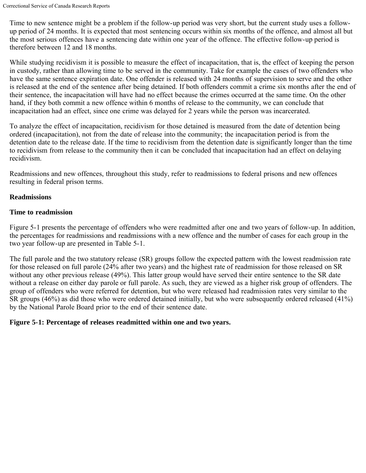Time to new sentence might be a problem if the follow-up period was very short, but the current study uses a followup period of 24 months. It is expected that most sentencing occurs within six months of the offence, and almost all but the most serious offences have a sentencing date within one year of the offence. The effective follow-up period is therefore between 12 and 18 months.

While studying recidivism it is possible to measure the effect of incapacitation, that is, the effect of keeping the person in custody, rather than allowing time to be served in the community. Take for example the cases of two offenders who have the same sentence expiration date. One offender is released with 24 months of supervision to serve and the other is released at the end of the sentence after being detained. If both offenders commit a crime six months after the end of their sentence, the incapacitation will have had no effect because the crimes occurred at the same time. On the other hand, if they both commit a new offence within 6 months of release to the community, we can conclude that incapacitation had an effect, since one crime was delayed for 2 years while the person was incarcerated.

To analyze the effect of incapacitation, recidivism for those detained is measured from the date of detention being ordered (incapacitation), not from the date of release into the community; the incapacitation period is from the detention date to the release date. If the time to recidivism from the detention date is significantly longer than the time to recidivism from release to the community then it can be concluded that incapacitation had an effect on delaying recidivism.

Readmissions and new offences, throughout this study, refer to readmissions to federal prisons and new offences resulting in federal prison terms.

# **Readmissions**

#### **Time to readmission**

Figure 5-1 presents the percentage of offenders who were readmitted after one and two years of follow-up. In addition, the percentages for readmissions and readmissions with a new offence and the number of cases for each group in the two year follow-up are presented in Table 5-1.

The full parole and the two statutory release (SR) groups follow the expected pattern with the lowest readmission rate for those released on full parole (24% after two years) and the highest rate of readmission for those released on SR without any other previous release (49%). This latter group would have served their entire sentence to the SR date without a release on either day parole or full parole. As such, they are viewed as a higher risk group of offenders. The group of offenders who were referred for detention, but who were released had readmission rates very similar to the SR groups (46%) as did those who were ordered detained initially, but who were subsequently ordered released (41%) by the National Parole Board prior to the end of their sentence date.

# **Figure 5-1: Percentage of releases readmitted within one and two years.**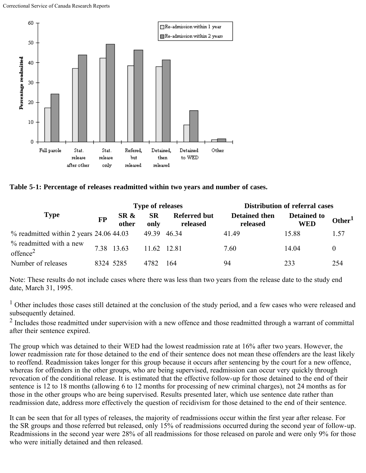

**Table 5-1: Percentage of releases readmitted within two years and number of cases.**

|                                                 |           |               | <b>Type of releases</b> |                                 | <b>Distribution of referral cases</b> |                                  |                    |
|-------------------------------------------------|-----------|---------------|-------------------------|---------------------------------|---------------------------------------|----------------------------------|--------------------|
| <b>Type</b>                                     | <b>FP</b> | SR &<br>other | <b>SR</b><br>only       | <b>Referred but</b><br>released | <b>Detained then</b><br>released      | <b>Detained to</b><br><b>WED</b> | Other <sup>1</sup> |
| $\%$ readmitted within 2 years 24.06 44.03      |           |               | 49.39 46.34             |                                 | 41.49                                 | 15.88                            | 1.57               |
| % readmitted with a new<br>offence <sup>2</sup> |           | 7.38 13.63    | 11.62 12.81             |                                 | 7.60                                  | 14 04                            | $\theta$           |
| Number of releases                              | 8324 5285 |               | 4782                    | 164                             | 94                                    | 233                              | 254                |

Note: These results do not include cases where there was less than two years from the release date to the study end date, March 31, 1995.

<sup>1</sup> Other includes those cases still detained at the conclusion of the study period, and a few cases who were released and subsequently detained.

<sup>2</sup> Includes those readmitted under supervision with a new offence and those readmitted through a warrant of committal after their sentence expired.

The group which was detained to their WED had the lowest readmission rate at 16% after two years. However, the lower readmission rate for those detained to the end of their sentence does not mean these offenders are the least likely to reoffend. Readmission takes longer for this group because it occurs after sentencing by the court for a new offence, whereas for offenders in the other groups, who are being supervised, readmission can occur very quickly through revocation of the conditional release. It is estimated that the effective follow-up for those detained to the end of their sentence is 12 to 18 months (allowing 6 to 12 months for processing of new criminal charges), not 24 months as for those in the other groups who are being supervised. Results presented later, which use sentence date rather than readmission date, address more effectively the question of recidivism for those detained to the end of their sentence.

It can be seen that for all types of releases, the majority of readmissions occur within the first year after release. For the SR groups and those referred but released, only 15% of readmissions occurred during the second year of follow-up. Readmissions in the second year were 28% of all readmissions for those released on parole and were only 9% for those who were initially detained and then released.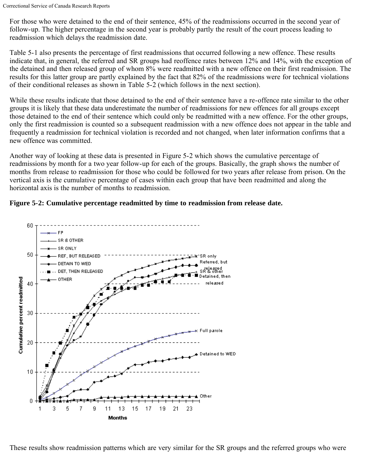For those who were detained to the end of their sentence, 45% of the readmissions occurred in the second year of follow-up. The higher percentage in the second year is probably partly the result of the court process leading to readmission which delays the readmission date.

Table 5-1 also presents the percentage of first readmissions that occurred following a new offence. These results indicate that, in general, the referred and SR groups had reoffence rates between 12% and 14%, with the exception of the detained and then released group of whom 8% were readmitted with a new offence on their first readmission. The results for this latter group are partly explained by the fact that 82% of the readmissions were for technical violations of their conditional releases as shown in Table 5-2 (which follows in the next section).

While these results indicate that those detained to the end of their sentence have a re-offence rate similar to the other groups it is likely that these data underestimate the number of readmissions for new offences for all groups except those detained to the end of their sentence which could only be readmitted with a new offence. For the other groups, only the first readmission is counted so a subsequent readmission with a new offence does not appear in the table and frequently a readmission for technical violation is recorded and not changed, when later information confirms that a new offence was committed.

Another way of looking at these data is presented in Figure 5-2 which shows the cumulative percentage of readmissions by month for a two year follow-up for each of the groups. Basically, the graph shows the number of months from release to readmission for those who could be followed for two years after release from prison. On the vertical axis is the cumulative percentage of cases within each group that have been readmitted and along the horizontal axis is the number of months to readmission.

# **Figure 5-2: Cumulative percentage readmitted by time to readmission from release date.**



These results show readmission patterns which are very similar for the SR groups and the referred groups who were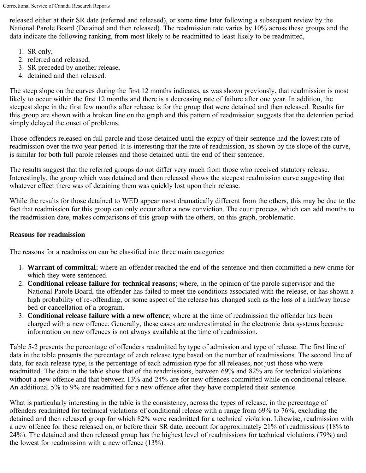released either at their SR date (referred and released), or some time later following a subsequent review by the National Parole Board (Detained and then released). The readmission rate varies by 10% across these groups and the data indicate the following ranking, from most likely to be readmitted to least likely to be readmitted,

- 1. SR only,
- 2. referred and released,
- 3. SR preceded by another release,
- 4. detained and then released.

The steep slope on the curves during the first 12 months indicates, as was shown previously, that readmission is most likely to occur within the first 12 months and there is a decreasing rate of failure after one year. In addition, the steepest slope in the first few months after release is for the group that were detained and then released. Results for this group are shown with a broken line on the graph and this pattern of readmission suggests that the detention period simply delayed the onset of problems.

Those offenders released on full parole and those detained until the expiry of their sentence had the lowest rate of readmission over the two year period. It is interesting that the rate of readmission, as shown by the slope of the curve, is similar for both full parole releases and those detained until the end of their sentence.

The results suggest that the referred groups do not differ very much from those who received statutory release. Interestingly, the group which was detained and then released shows the steepest readmission curve suggesting that whatever effect there was of detaining them was quickly lost upon their release.

While the results for those detained to WED appear most dramatically different from the others, this may be due to the fact that readmission for this group can only occur after a new conviction. The court process, which can add months to the readmission date, makes comparisons of this group with the others, on this graph, problematic.

# **Reasons for readmission**

The reasons for a readmission can be classified into three main categories:

- 1. **Warrant of committal**; where an offender reached the end of the sentence and then committed a new crime for which they were sentenced.
- 2. **Conditional release failure for technical reasons**; where, in the opinion of the parole supervisor and the National Parole Board, the offender has failed to meet the conditions associated with the release, or has shown a high probability of re-offending, or some aspect of the release has changed such as the loss of a halfway house bed or cancellation of a program.
- 3. **Conditional release failure with a new offence**; where at the time of readmission the offender has been charged with a new offence. Generally, these cases are underestimated in the electronic data systems because information on new offences is not always available at the time of readmission.

Table 5-2 presents the percentage of offenders readmitted by type of admission and type of release. The first line of data in the table presents the percentage of each release type based on the number of readmissions. The second line of data, for each release type, is the percentage of each admission type for all releases, not just those who were readmitted. The data in the table show that of the readmissions, between 69% and 82% are for technical violations without a new offence and that between 13% and 24% are for new offences committed while on conditional release. An additional 5% to 9% are readmitted for a new offence after they have completed their sentence.

What is particularly interesting in the table is the consistency, across the types of release, in the percentage of offenders readmitted for technical violations of conditional release with a range from 69% to 76%, excluding the detained and then released group for which 82% were readmitted for a technical violation. Likewise, readmission with a new offence for those released on, or before their SR date, account for approximately 21% of readmissions (18% to 24%). The detained and then released group has the highest level of readmissions for technical violations (79%) and the lowest for readmission with a new offence (13%).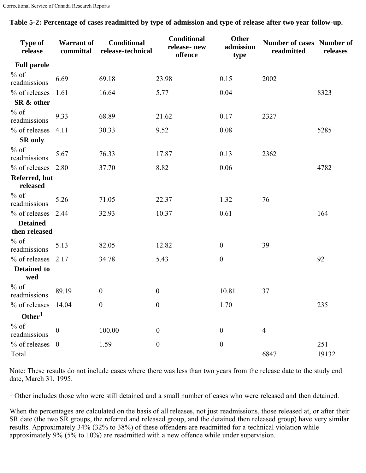| Type of<br>release               | <b>Warrant</b> of<br>committal | Conditional<br>release-technical | <b>Conditional</b><br>release-new<br>offence | <b>Other</b><br>admission<br>type | <b>Number of cases Number of</b><br>readmitted | releases |
|----------------------------------|--------------------------------|----------------------------------|----------------------------------------------|-----------------------------------|------------------------------------------------|----------|
| <b>Full parole</b>               |                                |                                  |                                              |                                   |                                                |          |
| $%$ of<br>readmissions           | 6.69                           | 69.18                            | 23.98                                        | 0.15                              | 2002                                           |          |
| % of releases                    | 1.61                           | 16.64                            | 5.77                                         | 0.04                              |                                                | 8323     |
| SR & other                       |                                |                                  |                                              |                                   |                                                |          |
| $%$ of<br>readmissions           | 9.33                           | 68.89                            | 21.62                                        | 0.17                              | 2327                                           |          |
| % of releases                    | 4.11                           | 30.33                            | 9.52                                         | 0.08                              |                                                | 5285     |
| <b>SR</b> only                   |                                |                                  |                                              |                                   |                                                |          |
| $\%$ of<br>readmissions          | 5.67                           | 76.33                            | 17.87                                        | 0.13                              | 2362                                           |          |
| % of releases                    | 2.80                           | 37.70                            | 8.82                                         | 0.06                              |                                                | 4782     |
| Referred, but<br>released        |                                |                                  |                                              |                                   |                                                |          |
| $%$ of<br>readmissions           | 5.26                           | 71.05                            | 22.37                                        | 1.32                              | 76                                             |          |
| % of releases                    | 2.44                           | 32.93                            | 10.37                                        | 0.61                              |                                                | 164      |
| <b>Detained</b><br>then released |                                |                                  |                                              |                                   |                                                |          |
| $%$ of<br>readmissions           | 5.13                           | 82.05                            | 12.82                                        | $\boldsymbol{0}$                  | 39                                             |          |
| % of releases                    | 2.17                           | 34.78                            | 5.43                                         | $\boldsymbol{0}$                  |                                                | 92       |
| <b>Detained to</b><br>wed        |                                |                                  |                                              |                                   |                                                |          |
| $%$ of<br>readmissions           | 89.19                          | $\boldsymbol{0}$                 | $\boldsymbol{0}$                             | 10.81                             | 37                                             |          |
| % of releases 14.04              |                                | $\boldsymbol{0}$                 | $\boldsymbol{0}$                             | 1.70                              |                                                | 235      |
| Other <sup>1</sup>               |                                |                                  |                                              |                                   |                                                |          |
| $\%$ of<br>readmissions          | $\boldsymbol{0}$               | 100.00                           | $\boldsymbol{0}$                             | $\boldsymbol{0}$                  | 4                                              |          |
| $%$ of releases 0                |                                | 1.59                             | $\boldsymbol{0}$                             | $\boldsymbol{0}$                  |                                                | 251      |
| Total                            |                                |                                  |                                              |                                   | 6847                                           | 19132    |

**Table 5-2: Percentage of cases readmitted by type of admission and type of release after two year follow-up.**

Note: These results do not include cases where there was less than two years from the release date to the study end date, March 31, 1995.

<sup>1</sup> Other includes those who were still detained and a small number of cases who were released and then detained.

When the percentages are calculated on the basis of all releases, not just readmissions, those released at, or after their SR date (the two SR groups, the referred and released group, and the detained then released group) have very similar results. Approximately 34% (32% to 38%) of these offenders are readmitted for a technical violation while approximately 9% (5% to 10%) are readmitted with a new offence while under supervision.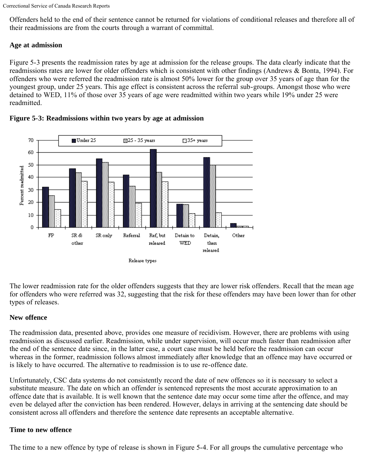Offenders held to the end of their sentence cannot be returned for violations of conditional releases and therefore all of their readmissions are from the courts through a warrant of committal.

# **Age at admission**

Figure 5-3 presents the readmission rates by age at admission for the release groups. The data clearly indicate that the readmissions rates are lower for older offenders which is consistent with other findings (Andrews & Bonta, 1994). For offenders who were referred the readmission rate is almost 50% lower for the group over 35 years of age than for the youngest group, under 25 years. This age effect is consistent across the referral sub-groups. Amongst those who were detained to WED, 11% of those over 35 years of age were readmitted within two years while 19% under 25 were readmitted.





The lower readmission rate for the older offenders suggests that they are lower risk offenders. Recall that the mean age for offenders who were referred was 32, suggesting that the risk for these offenders may have been lower than for other types of releases.

# **New offence**

The readmission data, presented above, provides one measure of recidivism. However, there are problems with using readmission as discussed earlier. Readmission, while under supervision, will occur much faster than readmission after the end of the sentence date since, in the latter case, a court case must be held before the readmission can occur whereas in the former, readmission follows almost immediately after knowledge that an offence may have occurred or is likely to have occurred. The alternative to readmission is to use re-offence date.

Unfortunately, CSC data systems do not consistently record the date of new offences so it is necessary to select a substitute measure. The date on which an offender is sentenced represents the most accurate approximation to an offence date that is available. It is well known that the sentence date may occur some time after the offence, and may even be delayed after the conviction has been rendered. However, delays in arriving at the sentencing date should be consistent across all offenders and therefore the sentence date represents an acceptable alternative.

# **Time to new offence**

The time to a new offence by type of release is shown in Figure 5-4. For all groups the cumulative percentage who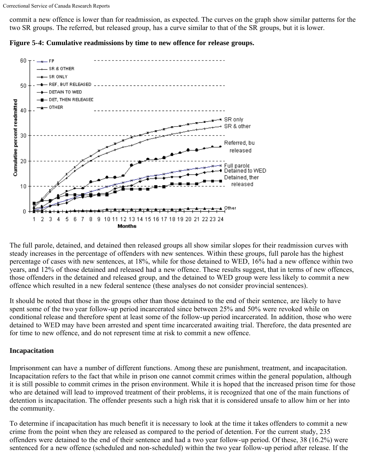commit a new offence is lower than for readmission, as expected. The curves on the graph show similar patterns for the two SR groups. The referred, but released group, has a curve similar to that of the SR groups, but it is lower.



**Figure 5-4: Cumulative readmissions by time to new offence for release groups.**

The full parole, detained, and detained then released groups all show similar slopes for their readmission curves with steady increases in the percentage of offenders with new sentences. Within these groups, full parole has the highest percentage of cases with new sentences, at 18%, while for those detained to WED, 16% had a new offence within two years, and 12% of those detained and released had a new offence. These results suggest, that in terms of new offences, those offenders in the detained and released group, and the detained to WED group were less likely to commit a new offence which resulted in a new federal sentence (these analyses do not consider provincial sentences).

It should be noted that those in the groups other than those detained to the end of their sentence, are likely to have spent some of the two year follow-up period incarcerated since between 25% and 50% were revoked while on conditional release and therefore spent at least some of the follow-up period incarcerated. In addition, those who were detained to WED may have been arrested and spent time incarcerated awaiting trial. Therefore, the data presented are for time to new offence, and do not represent time at risk to commit a new offence.

# **Incapacitation**

Imprisonment can have a number of different functions. Among these are punishment, treatment, and incapacitation. Incapacitation refers to the fact that while in prison one cannot commit crimes within the general population, although it is still possible to commit crimes in the prison environment. While it is hoped that the increased prison time for those who are detained will lead to improved treatment of their problems, it is recognized that one of the main functions of detention is incapacitation. The offender presents such a high risk that it is considered unsafe to allow him or her into the community.

To determine if incapacitation has much benefit it is necessary to look at the time it takes offenders to commit a new crime from the point when they are released as compared to the period of detention. For the current study, 235 offenders were detained to the end of their sentence and had a two year follow-up period. Of these, 38 (16.2%) were sentenced for a new offence (scheduled and non-scheduled) within the two year follow-up period after release. If the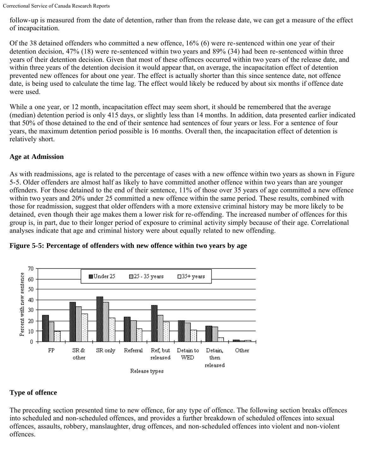follow-up is measured from the date of detention, rather than from the release date, we can get a measure of the effect of incapacitation.

Of the 38 detained offenders who committed a new offence, 16% (6) were re-sentenced within one year of their detention decision, 47% (18) were re-sentenced within two years and 89% (34) had been re-sentenced within three years of their detention decision. Given that most of these offences occurred within two years of the release date, and within three years of the detention decision it would appear that, on average, the incapacitation effect of detention prevented new offences for about one year. The effect is actually shorter than this since sentence date, not offence date, is being used to calculate the time lag. The effect would likely be reduced by about six months if offence date were used.

While a one year, or 12 month, incapacitation effect may seem short, it should be remembered that the average (median) detention period is only 415 days, or slightly less than 14 months. In addition, data presented earlier indicated that 50% of those detained to the end of their sentence had sentences of four years or less. For a sentence of four years, the maximum detention period possible is 16 months. Overall then, the incapacitation effect of detention is relatively short.

# **Age at Admission**

As with readmissions, age is related to the percentage of cases with a new offence within two years as shown in Figure 5-5. Older offenders are almost half as likely to have committed another offence within two years than are younger offenders. For those detained to the end of their sentence, 11% of those over 35 years of age committed a new offence within two years and 20% under 25 committed a new offence within the same period. These results, combined with those for readmission, suggest that older offenders with a more extensive criminal history may be more likely to be detained, even though their age makes them a lower risk for re-offending. The increased number of offences for this group is, in part, due to their longer period of exposure to criminal activity simply because of their age. Correlational analyses indicate that age and criminal history were about equally related to new offending.



**Figure 5-5: Percentage of offenders with new offence within two years by age**

# **Type of offence**

The preceding section presented time to new offence, for any type of offence. The following section breaks offences into scheduled and non-scheduled offences, and provides a further breakdown of scheduled offences into sexual offences, assaults, robbery, manslaughter, drug offences, and non-scheduled offences into violent and non-violent offences.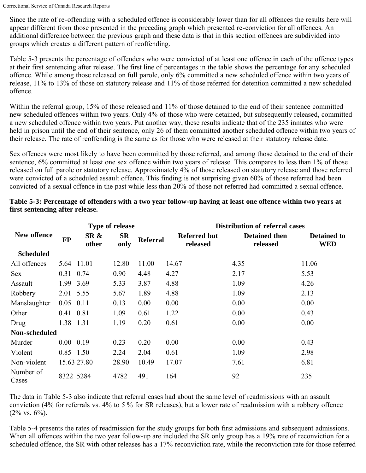Since the rate of re-offending with a scheduled offence is considerably lower than for all offences the results here will appear different from those presented in the preceding graph which presented re-conviction for all offences. An additional difference between the previous graph and these data is that in this section offences are subdivided into groups which creates a different pattern of reoffending.

Table 5-3 presents the percentage of offenders who were convicted of at least one offence in each of the offence types at their first sentencing after release. The first line of percentages in the table shows the percentage for any scheduled offence. While among those released on full parole, only 6% committed a new scheduled offence within two years of release, 11% to 13% of those on statutory release and 11% of those referred for detention committed a new scheduled offence.

Within the referral group, 15% of those released and 11% of those detained to the end of their sentence committed new scheduled offences within two years. Only 4% of those who were detained, but subsequently released, committed a new scheduled offence within two years. Put another way, these results indicate that of the 235 inmates who were held in prison until the end of their sentence, only 26 of them committed another scheduled offence within two years of their release. The rate of reoffending is the same as for those who were released at their statutory release date.

Sex offences were most likely to have been committed by those referred, and among those detained to the end of their sentence, 6% committed at least one sex offence within two years of release. This compares to less than 1% of those released on full parole or statutory release. Approximately 4% of those released on statutory release and those referred were convicted of a scheduled assault offence. This finding is not surprising given 60% of those referred had been convicted of a sexual offence in the past while less than 20% of those not referred had committed a sexual offence.

|                    |                   |               | Type of release   |                 | <b>Distribution of referral cases</b> |                                  |                                  |
|--------------------|-------------------|---------------|-------------------|-----------------|---------------------------------------|----------------------------------|----------------------------------|
| New offence        | <b>FP</b>         | SR &<br>other | <b>SR</b><br>only | <b>Referral</b> | <b>Referred but</b><br>released       | <b>Detained then</b><br>released | <b>Detained to</b><br><b>WED</b> |
| <b>Scheduled</b>   |                   |               |                   |                 |                                       |                                  |                                  |
| All offences       |                   | 5.64 11.01    | 12.80             | 11.00           | 14.67                                 | 4.35                             | 11.06                            |
| <b>Sex</b>         |                   | 0.31 0.74     | 0.90              | 4.48            | 4.27                                  | 2.17                             | 5.53                             |
| Assault            | 1.99              | 3.69          | 5.33              | 3.87            | 4.88                                  | 1.09                             | 4.26                             |
| Robbery            | 2.01 5.55         |               | 5.67              | 1.89            | 4.88                                  | 1.09                             | 2.13                             |
| Manslaughter       | $0.05$ 0.11       |               | 0.13              | 0.00            | 0.00                                  | 0.00                             | 0.00                             |
| Other              | 0.41 0.81         |               | 1.09              | 0.61            | 1.22                                  | 0.00                             | 0.43                             |
| Drug               |                   | 1.38 1.31     | 1.19              | 0.20            | 0.61                                  | 0.00                             | 0.00                             |
| Non-scheduled      |                   |               |                   |                 |                                       |                                  |                                  |
| Murder             | $0.00 \quad 0.19$ |               | 0.23              | 0.20            | 0.00                                  | 0.00                             | 0.43                             |
| Violent            | 0.85 1.50         |               | 2.24              | 2.04            | 0.61                                  | 1.09                             | 2.98                             |
| Non-violent        |                   | 15.63 27.80   | 28.90             | 10.49           | 17.07                                 | 7.61                             | 6.81                             |
| Number of<br>Cases |                   | 8322 5284     | 4782              | 491             | 164                                   | 92                               | 235                              |

# **Table 5-3: Percentage of offenders with a two year follow-up having at least one offence within two years at first sentencing after release.**

The data in Table 5-3 also indicate that referral cases had about the same level of readmissions with an assault conviction (4% for referrals vs. 4% to 5 % for SR releases), but a lower rate of readmission with a robbery offence  $(2\% \text{ vs. } 6\%)$ .

Table 5-4 presents the rates of readmission for the study groups for both first admissions and subsequent admissions. When all offences within the two year follow-up are included the SR only group has a 19% rate of reconviction for a scheduled offence, the SR with other releases has a 17% reconviction rate, while the reconviction rate for those referred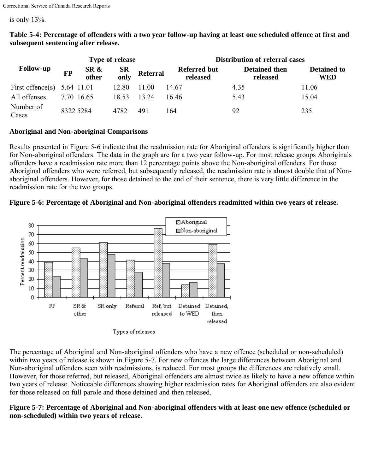is only 13%.

|                               | <b>Type of release</b> |               |                   |                 | <b>Distribution of referral cases</b> |                                  |                                  |
|-------------------------------|------------------------|---------------|-------------------|-----------------|---------------------------------------|----------------------------------|----------------------------------|
| <b>Follow-up</b>              | <b>FP</b>              | SR &<br>other | <b>SR</b><br>only | <b>Referral</b> | <b>Referred but</b><br>released       | <b>Detained then</b><br>released | <b>Detained to</b><br><b>WED</b> |
| First offence(s) $5.64$ 11.01 |                        |               | 12.80             | 11.00           | 14.67                                 | 4.35                             | 11.06                            |
| All offenses                  |                        | 7 70 16 65    | 18.53             | 13.24           | 16.46                                 | 5.43                             | 15.04                            |
| Number of<br>Cases            | 8322 5284              |               | 4782              | 491             | 164                                   | 92                               | 235                              |

**Table 5-4: Percentage of offenders with a two year follow-up having at least one scheduled offence at first and subsequent sentencing after release.**

# **Aboriginal and Non-aboriginal Comparisons**

Results presented in Figure 5-6 indicate that the readmission rate for Aboriginal offenders is significantly higher than for Non-aboriginal offenders. The data in the graph are for a two year follow-up. For most release groups Aboriginals offenders have a readmission rate more than 12 percentage points above the Non-aboriginal offenders. For those Aboriginal offenders who were referred, but subsequently released, the readmission rate is almost double that of Nonaboriginal offenders. However, for those detained to the end of their sentence, there is very little difference in the readmission rate for the two groups.

# **Figure 5-6: Percentage of Aboriginal and Non-aboriginal offenders readmitted within two years of release.**



The percentage of Aboriginal and Non-aboriginal offenders who have a new offence (scheduled or non-scheduled) within two years of release is shown in Figure 5-7. For new offences the large differences between Aboriginal and Non-aboriginal offenders seen with readmissions, is reduced. For most groups the differences are relatively small. However, for those referred, but released, Aboriginal offenders are almost twice as likely to have a new offence within two years of release. Noticeable differences showing higher readmission rates for Aboriginal offenders are also evident for those released on full parole and those detained and then released.

#### **Figure 5-7: Percentage of Aboriginal and Non-aboriginal offenders with at least one new offence (scheduled or non-scheduled) within two years of release.**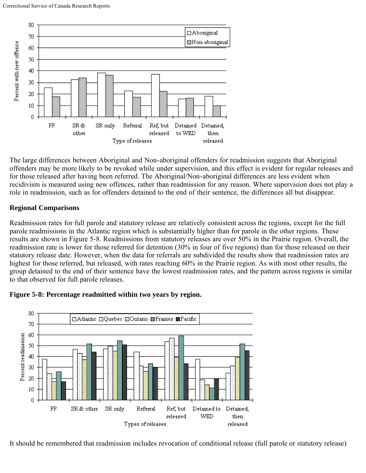

The large differences between Aboriginal and Non-aboriginal offenders for readmission suggests that Aboriginal offenders may be more likely to be revoked while under supervision, and this effect is evident for regular releases and for those released after having been referred. The Aboriginal/Non-aboriginal differences are less evident when recidivism is measured using new offences, rather than readmission for any reason. Where supervision does not play a role in readmission, such as for offenders detained to the end of their sentence, the differences all but disappear.

# **Regional Comparisons**

Readmission rates for full parole and statutory release are relatively consistent across the regions, except for the full parole readmissions in the Atlantic region which is substantially higher than for parole in the other regions. These results are shown in Figure 5-8. Readmissions from statutory releases are over 50% in the Prairie region. Overall, the readmission rate is lower for those referred for detention (30% in four of five regions) than for those released on their statutory release date. However, when the data for referrals are subdivided the results show that readmission rates are highest for those referred, but released, with rates reaching 60% in the Prairie region. As with most other results, the group detained to the end of their sentence have the lowest readmission rates, and the pattern across regions is similar to that observed for full parole releases.



# **Figure 5-8: Percentage readmitted within two years by region.**

It should be remembered that readmission includes revocation of conditional release (full parole or statutory release)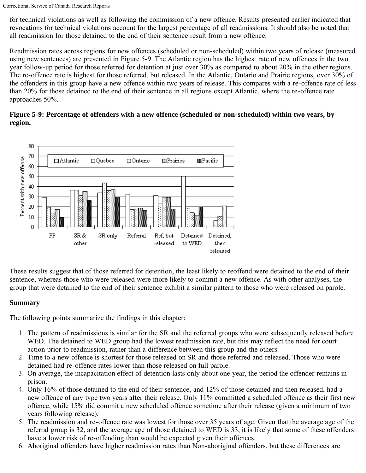for technical violations as well as following the commission of a new offence. Results presented earlier indicated that revocations for technical violations account for the largest percentage of all readmissions. It should also be noted that all readmission for those detained to the end of their sentence result from a new offence.

Readmission rates across regions for new offences (scheduled or non-scheduled) within two years of release (measured using new sentences) are presented in Figure 5-9. The Atlantic region has the highest rate of new offences in the two year follow-up period for those referred for detention at just over 30% as compared to about 20% in the other regions. The re-offence rate is highest for those referred, but released. In the Atlantic, Ontario and Prairie regions, over 30% of the offenders in this group have a new offence within two years of release. This compares with a re-offence rate of less than 20% for those detained to the end of their sentence in all regions except Atlantic, where the re-offence rate approaches 50%.

# **Figure 5-9: Percentage of offenders with a new offence (scheduled or non-scheduled) within two years, by region.**



These results suggest that of those referred for detention, the least likely to reoffend were detained to the end of their sentence, whereas those who were released were more likely to commit a new offence. As with other analyses, the group that were detained to the end of their sentence exhibit a similar pattern to those who were released on parole.

# **Summary**

The following points summarize the findings in this chapter:

- 1. The pattern of readmissions is similar for the SR and the referred groups who were subsequently released before WED. The detained to WED group had the lowest readmission rate, but this may reflect the need for court action prior to readmission, rather than a difference between this group and the others.
- 2. Time to a new offence is shortest for those released on SR and those referred and released. Those who were detained had re-offence rates lower than those released on full parole.
- 3. On average, the incapacitation effect of detention lasts only about one year, the period the offender remains in prison.
- 4. Only 16% of those detained to the end of their sentence, and 12% of those detained and then released, had a new offence of any type two years after their release. Only 11% committed a scheduled offence as their first new offence, while 15% did commit a new scheduled offence sometime after their release (given a minimum of two years following release).
- 5. The readmission and re-offence rate was lowest for those over 35 years of age. Given that the average age of the referral group is 32, and the average age of those detained to WED is 33, it is likely that some of these offenders have a lower risk of re-offending than would be expected given their offences.
- 6. Aboriginal offenders have higher readmission rates than Non-aboriginal offenders, but these differences are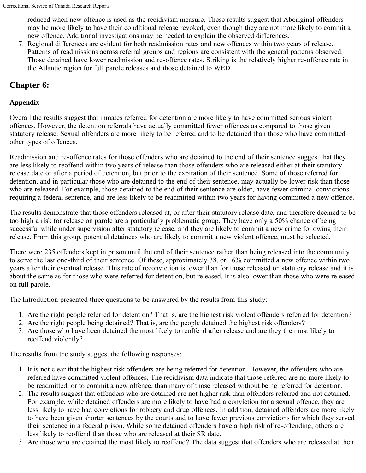reduced when new offence is used as the recidivism measure. These results suggest that Aboriginal offenders may be more likely to have their conditional release revoked, even though they are not more likely to commit a new offence. Additional investigations may be needed to explain the observed differences.

7. Regional differences are evident for both readmission rates and new offences within two years of release. Patterns of readmissions across referral groups and regions are consistent with the general patterns observed. Those detained have lower readmission and re-offence rates. Striking is the relatively higher re-offence rate in the Atlantic region for full parole releases and those detained to WED.

# <span id="page-30-0"></span>**Chapter 6:**

# **Appendix**

Overall the results suggest that inmates referred for detention are more likely to have committed serious violent offences. However, the detention referrals have actually committed fewer offences as compared to those given statutory release. Sexual offenders are more likely to be referred and to be detained than those who have committed other types of offences.

Readmission and re-offence rates for those offenders who are detained to the end of their sentence suggest that they are less likely to reoffend within two years of release than those offenders who are released either at their statutory release date or after a period of detention, but prior to the expiration of their sentence. Some of those referred for detention, and in particular those who are detained to the end of their sentence, may actually be lower risk than those who are released. For example, those detained to the end of their sentence are older, have fewer criminal convictions requiring a federal sentence, and are less likely to be readmitted within two years for having committed a new offence.

The results demonstrate that those offenders released at, or after their statutory release date, and therefore deemed to be too high a risk for release on parole are a particularly problematic group. They have only a 50% chance of being successful while under supervision after statutory release, and they are likely to commit a new crime following their release. From this group, potential detainees who are likely to commit a new violent offence, must be selected.

There were 235 offenders kept in prison until the end of their sentence rather than being released into the community to serve the last one-third of their sentence. Of these, approximately 38, or 16% committed a new offence within two years after their eventual release. This rate of reconviction is lower than for those released on statutory release and it is about the same as for those who were referred for detention, but released. It is also lower than those who were released on full parole.

The Introduction presented three questions to be answered by the results from this study:

- 1. Are the right people referred for detention? That is, are the highest risk violent offenders referred for detention?
- 2. Are the right people being detained? That is, are the people detained the highest risk offenders?
- 3. Are those who have been detained the most likely to reoffend after release and are they the most likely to reoffend violently?

The results from the study suggest the following responses:

- 1. It is not clear that the highest risk offenders are being referred for detention. However, the offenders who are referred have committed violent offences. The recidivism data indicate that those referred are no more likely to be readmitted, or to commit a new offence, than many of those released without being referred for detention.
- 2. The results suggest that offenders who are detained are not higher risk than offenders referred and not detained. For example, while detained offenders are more likely to have had a conviction for a sexual offence, they are less likely to have had convictions for robbery and drug offences. In addition, detained offenders are more likely to have been given shorter sentences by the courts and to have fewer previous convictions for which they served their sentence in a federal prison. While some detained offenders have a high risk of re-offending, others are less likely to reoffend than those who are released at their SR date.
- 3. Are those who are detained the most likely to reoffend? The data suggest that offenders who are released at their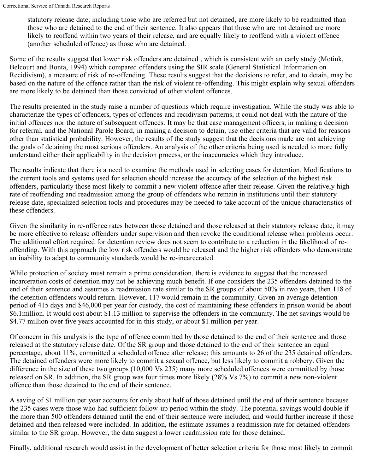statutory release date, including those who are referred but not detained, are more likely to be readmitted than those who are detained to the end of their sentence. It also appears that those who are not detained are more likely to reoffend within two years of their release, and are equally likely to reoffend with a violent offence (another scheduled offence) as those who are detained.

Some of the results suggest that lower risk offenders are detained , which is consistent with an early study (Motiuk, Belcourt and Bonta, 1994) which compared offenders using the SIR scale (General Statistical Information on Recidivism), a measure of risk of re-offending. These results suggest that the decisions to refer, and to detain, may be based on the nature of the offence rather than the risk of violent re-offending. This might explain why sexual offenders are more likely to be detained than those convicted of other violent offences.

The results presented in the study raise a number of questions which require investigation. While the study was able to characterize the types of offenders, types of offences and recidivism patterns, it could not deal with the nature of the initial offences nor the nature of subsequent offences. It may be that case management officers, in making a decision for referral, and the National Parole Board, in making a decision to detain, use other criteria that are valid for reasons other than statistical probability. However, the results of the study suggest that the decisions made are not achieving the goals of detaining the most serious offenders. An analysis of the other criteria being used is needed to more fully understand either their applicability in the decision process, or the inaccuracies which they introduce.

The results indicate that there is a need to examine the methods used in selecting cases for detention. Modifications to the current tools and systems used for selection should increase the accuracy of the selection of the highest risk offenders, particularly those most likely to commit a new violent offence after their release. Given the relatively high rate of reoffending and readmission among the group of offenders who remain in institutions until their statutory release date, specialized selection tools and procedures may be needed to take account of the unique characteristics of these offenders.

Given the similarity in re-offence rates between those detained and those released at their statutory release date, it may be more effective to release offenders under supervision and then revoke the conditional release when problems occur. The additional effort required for detention review does not seem to contribute to a reduction in the likelihood of reoffending. With this approach the low risk offenders would be released and the higher risk offenders who demonstrate an inability to adapt to community standards would be re-incarcerated.

While protection of society must remain a prime consideration, there is evidence to suggest that the increased incarceration costs of detention may not be achieving much benefit. If one considers the 235 offenders detained to the end of their sentence and assumes a readmission rate similar to the SR groups of about 50% in two years, then 118 of the detention offenders would return. However, 117 would remain in the community. Given an average detention period of 415 days and \$46,000 per year for custody, the cost of maintaining these offenders in prison would be about \$6.1million. It would cost about \$1.13 million to supervise the offenders in the community. The net savings would be \$4.77 million over five years accounted for in this study, or about \$1 million per year.

Of concern in this analysis is the type of offence committed by those detained to the end of their sentence and those released at the statutory release date. Of the SR group and those detained to the end of their sentence an equal percentage, about 11%, committed a scheduled offence after release; this amounts to 26 of the 235 detained offenders. The detained offenders were more likely to commit a sexual offence, but less likely to commit a robbery. Given the difference in the size of these two groups (10,000 Vs 235) many more scheduled offences were committed by those released on SR. In addition, the SR group was four times more likely (28% Vs 7%) to commit a new non-violent offence than those detained to the end of their sentence.

A saving of \$1 million per year accounts for only about half of those detained until the end of their sentence because the 235 cases were those who had sufficient follow-up period within the study. The potential savings would double if the more than 500 offenders detained until the end of their sentence were included, and would further increase if those detained and then released were included. In addition, the estimate assumes a readmission rate for detained offenders similar to the SR group. However, the data suggest a lower readmission rate for those detained.

Finally, additional research would assist in the development of better selection criteria for those most likely to commit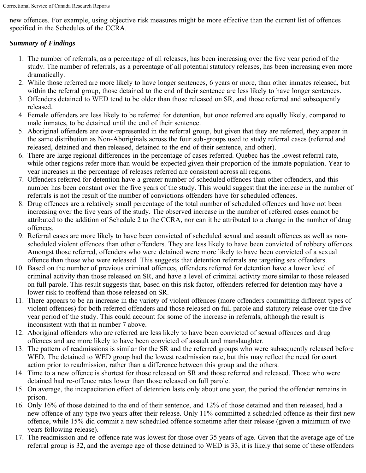new offences. For example, using objective risk measures might be more effective than the current list of offences specified in the Schedules of the CCRA.

# *Summary of Findings*

- 1. The number of referrals, as a percentage of all releases, has been increasing over the five year period of the study. The number of referrals, as a percentage of all potential statutory releases, has been increasing even more dramatically.
- 2. While those referred are more likely to have longer sentences, 6 years or more, than other inmates released, but within the referral group, those detained to the end of their sentence are less likely to have longer sentences.
- 3. Offenders detained to WED tend to be older than those released on SR, and those referred and subsequently released.
- 4. Female offenders are less likely to be referred for detention, but once referred are equally likely, compared to male inmates, to be detained until the end of their sentence.
- 5. Aboriginal offenders are over-represented in the referral group, but given that they are referred, they appear in the same distribution as Non-Aboriginals across the four sub-groups used to study referral cases (referred and released, detained and then released, detained to the end of their sentence, and other).
- 6. There are large regional differences in the percentage of cases referred. Quebec has the lowest referral rate, while other regions refer more than would be expected given their proportion of the inmate population. Year to year increases in the percentage of releases referred are consistent across all regions.
- 7. Offenders referred for detention have a greater number of scheduled offences than other offenders, and this number has been constant over the five years of the study. This would suggest that the increase in the number of referrals is not the result of the number of convictions offenders have for scheduled offences.
- 8. Drug offences are a relatively small percentage of the total number of scheduled offences and have not been increasing over the five years of the study. The observed increase in the number of referred cases cannot be attributed to the addition of Schedule 2 to the CCRA, nor can it be attributed to a change in the number of drug offences.
- 9. Referral cases are more likely to have been convicted of scheduled sexual and assault offences as well as nonscheduled violent offences than other offenders. They are less likely to have been convicted of robbery offences. Amongst those referred, offenders who were detained were more likely to have been convicted of a sexual offence than those who were released. This suggests that detention referrals are targeting sex offenders.
- 10. Based on the number of previous criminal offences, offenders referred for detention have a lower level of criminal activity than those released on SR, and have a level of criminal activity more similar to those released on full parole. This result suggests that, based on this risk factor, offenders referred for detention may have a lower risk to reoffend than those released on SR.
- 11. There appears to be an increase in the variety of violent offences (more offenders committing different types of violent offences) for both referred offenders and those released on full parole and statutory release over the five year period of the study. This could account for some of the increase in referrals, although the result is inconsistent with that in number 7 above.
- 12. Aboriginal offenders who are referred are less likely to have been convicted of sexual offences and drug offences and are more likely to have been convicted of assault and manslaughter.
- 13. The pattern of readmissions is similar for the SR and the referred groups who were subsequently released before WED. The detained to WED group had the lowest readmission rate, but this may reflect the need for court action prior to readmission, rather than a difference between this group and the others.
- 14. Time to a new offence is shortest for those released on SR and those referred and released. Those who were detained had re-offence rates lower than those released on full parole.
- 15. On average, the incapacitation effect of detention lasts only about one year, the period the offender remains in prison.
- 16. Only 16% of those detained to the end of their sentence, and 12% of those detained and then released, had a new offence of any type two years after their release. Only 11% committed a scheduled offence as their first new offence, while 15% did commit a new scheduled offence sometime after their release (given a minimum of two years following release).
- 17. The readmission and re-offence rate was lowest for those over 35 years of age. Given that the average age of the referral group is 32, and the average age of those detained to WED is 33, it is likely that some of these offenders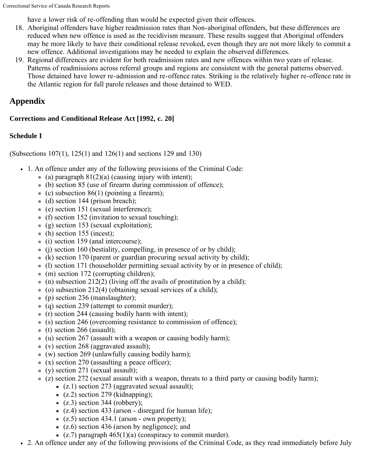have a lower risk of re-offending than would be expected given their offences.

- 18. Aboriginal offenders have higher readmission rates than Non-aboriginal offenders, but these differences are reduced when new offence is used as the recidivism measure. These results suggest that Aboriginal offenders may be more likely to have their conditional release revoked, even though they are not more likely to commit a new offence. Additional investigations may be needed to explain the observed differences.
- 19. Regional differences are evident for both readmission rates and new offences within two years of release. Patterns of readmissions across referral groups and regions are consistent with the general patterns observed. Those detained have lower re-admission and re-offence rates. Striking is the relatively higher re-offence rate in the Atlantic region for full parole releases and those detained to WED.

# <span id="page-33-0"></span>**Appendix**

# **Corrections and Conditional Release Act [1992, c. 20]**

# **Schedule I**

(Subsections 107(1), 125(1) and 126(1) and sections 129 and 130)

- 1. An offence under any of the following provisions of the Criminal Code:
	- $\circ$  (a) paragraph 81(2)(a) (causing injury with intent);
	- (b) section 85 (use of firearm during commission of offence);
	- $\circ$  (c) subsection 86(1) (pointing a firearm);
	- $\circ$  (d) section 144 (prison breach);
	- (e) section 151 (sexual interference);
	- (f) section 152 (invitation to sexual touching);
	- (g) section 153 (sexual exploitation);
	- (h) section 155 (incest);
	- (i) section 159 (anal intercourse);
	- (j) section 160 (bestiality, compelling, in presence of or by child);
	- (k) section 170 (parent or guardian procuring sexual activity by child);
	- (l) section 171 (householder permitting sexual activity by or in presence of child);
	- (m) section 172 (corrupting children);
	- $\circ$  (n) subsection 212(2) (living off the avails of prostitution by a child);
	- $\circ$  (o) subsection 212(4) (obtaining sexual services of a child);
	- (p) section 236 (manslaughter);
	- (q) section 239 (attempt to commit murder);
	- $\circ$  (r) section 244 (causing bodily harm with intent);
	- (s) section 246 (overcoming resistance to commission of offence);
	- $\circ$  (t) section 266 (assault);
	- (u) section 267 (assault with a weapon or causing bodily harm);
	- (v) section 268 (aggravated assault);
	- (w) section 269 (unlawfully causing bodily harm);
	- $\circ$  (x) section 270 (assaulting a peace officer);
	- (y) section 271 (sexual assault);
	- $\circ$  (z) section 272 (sexual assault with a weapon, threats to a third party or causing bodily harm);
		- $(z,1)$  section 273 (aggravated sexual assault);
		- $(z, 2)$  section 279 (kidnapping);
		- $(z.3)$  section 344 (robbery);
		- $(z.4)$  section 433 (arson disregard for human life);
		- $(z.5)$  section 434.1 (arson own property);
		- $(z.6)$  section 436 (arson by negligence); and
		- (z.7) paragraph  $465(1)(a)$  (conspiracy to commit murder).
- 2. An offence under any of the following provisions of the Criminal Code, as they read immediately before July